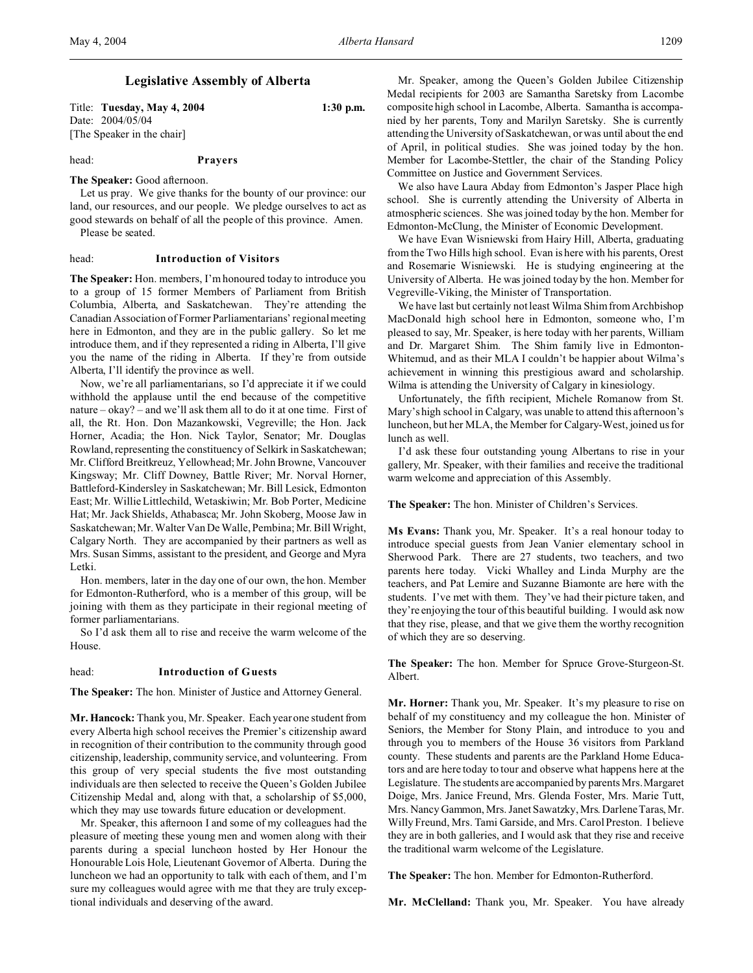# **Legislative Assembly of Alberta**

Title: **Tuesday, May 4, 2004 1:30 p.m.** Date: 2004/05/04 [The Speaker in the chair]

head: **Prayers**

**The Speaker:** Good afternoon.

Let us pray. We give thanks for the bounty of our province: our land, our resources, and our people. We pledge ourselves to act as good stewards on behalf of all the people of this province. Amen. Please be seated.

head: **Introduction of Visitors**

**The Speaker:** Hon. members, I'm honoured today to introduce you to a group of 15 former Members of Parliament from British Columbia, Alberta, and Saskatchewan. They're attending the Canadian Association of Former Parliamentarians' regional meeting here in Edmonton, and they are in the public gallery. So let me introduce them, and if they represented a riding in Alberta, I'll give you the name of the riding in Alberta. If they're from outside Alberta, I'll identify the province as well.

Now, we're all parliamentarians, so I'd appreciate it if we could withhold the applause until the end because of the competitive nature – okay? – and we'll ask them all to do it at one time. First of all, the Rt. Hon. Don Mazankowski, Vegreville; the Hon. Jack Horner, Acadia; the Hon. Nick Taylor, Senator; Mr. Douglas Rowland, representing the constituency of Selkirk in Saskatchewan; Mr. Clifford Breitkreuz, Yellowhead; Mr. John Browne, Vancouver Kingsway; Mr. Cliff Downey, Battle River; Mr. Norval Horner, Battleford-Kindersley in Saskatchewan; Mr. Bill Lesick, Edmonton East; Mr. Willie Littlechild, Wetaskiwin; Mr. Bob Porter, Medicine Hat; Mr. Jack Shields, Athabasca; Mr. John Skoberg, Moose Jaw in Saskatchewan; Mr. Walter Van De Walle, Pembina; Mr. Bill Wright, Calgary North. They are accompanied by their partners as well as Mrs. Susan Simms, assistant to the president, and George and Myra Letki.

Hon. members, later in the day one of our own, the hon. Member for Edmonton-Rutherford, who is a member of this group, will be joining with them as they participate in their regional meeting of former parliamentarians.

So I'd ask them all to rise and receive the warm welcome of the House.

#### head: **Introduction of Guests**

**The Speaker:** The hon. Minister of Justice and Attorney General.

**Mr. Hancock:** Thank you, Mr. Speaker. Each year one student from every Alberta high school receives the Premier's citizenship award in recognition of their contribution to the community through good citizenship, leadership, community service, and volunteering. From this group of very special students the five most outstanding individuals are then selected to receive the Queen's Golden Jubilee Citizenship Medal and, along with that, a scholarship of \$5,000, which they may use towards future education or development.

Mr. Speaker, this afternoon I and some of my colleagues had the pleasure of meeting these young men and women along with their parents during a special luncheon hosted by Her Honour the Honourable Lois Hole, Lieutenant Governor of Alberta. During the luncheon we had an opportunity to talk with each of them, and I'm sure my colleagues would agree with me that they are truly exceptional individuals and deserving of the award.

Mr. Speaker, among the Queen's Golden Jubilee Citizenship Medal recipients for 2003 are Samantha Saretsky from Lacombe composite high school in Lacombe, Alberta. Samantha is accompanied by her parents, Tony and Marilyn Saretsky. She is currently attending the University of Saskatchewan, or was until about the end of April, in political studies. She was joined today by the hon. Member for Lacombe-Stettler, the chair of the Standing Policy Committee on Justice and Government Services.

We also have Laura Abday from Edmonton's Jasper Place high school. She is currently attending the University of Alberta in atmospheric sciences. She was joined today by the hon. Member for Edmonton-McClung, the Minister of Economic Development.

We have Evan Wisniewski from Hairy Hill, Alberta, graduating from the Two Hills high school. Evan is here with his parents, Orest and Rosemarie Wisniewski. He is studying engineering at the University of Alberta. He was joined today by the hon. Member for Vegreville-Viking, the Minister of Transportation.

We have last but certainly not least Wilma Shim from Archbishop MacDonald high school here in Edmonton, someone who, I'm pleased to say, Mr. Speaker, is here today with her parents, William and Dr. Margaret Shim. The Shim family live in Edmonton-Whitemud, and as their MLA I couldn't be happier about Wilma's achievement in winning this prestigious award and scholarship. Wilma is attending the University of Calgary in kinesiology.

Unfortunately, the fifth recipient, Michele Romanow from St. Mary's high school in Calgary, was unable to attend this afternoon's luncheon, but her MLA, the Member for Calgary-West, joined us for lunch as well.

I'd ask these four outstanding young Albertans to rise in your gallery, Mr. Speaker, with their families and receive the traditional warm welcome and appreciation of this Assembly.

**The Speaker:** The hon. Minister of Children's Services.

**Ms Evans:** Thank you, Mr. Speaker. It's a real honour today to introduce special guests from Jean Vanier elementary school in Sherwood Park. There are 27 students, two teachers, and two parents here today. Vicki Whalley and Linda Murphy are the teachers, and Pat Lemire and Suzanne Biamonte are here with the students. I've met with them. They've had their picture taken, and they're enjoying the tour of this beautiful building. I would ask now that they rise, please, and that we give them the worthy recognition of which they are so deserving.

**The Speaker:** The hon. Member for Spruce Grove-Sturgeon-St. Albert.

**Mr. Horner:** Thank you, Mr. Speaker. It's my pleasure to rise on behalf of my constituency and my colleague the hon. Minister of Seniors, the Member for Stony Plain, and introduce to you and through you to members of the House 36 visitors from Parkland county. These students and parents are the Parkland Home Educators and are here today to tour and observe what happens here at the Legislature. The students are accompanied by parents Mrs. Margaret Doige, Mrs. Janice Freund, Mrs. Glenda Foster, Mrs. Marie Tutt, Mrs. Nancy Gammon, Mrs. Janet Sawatzky, Mrs. Darlene Taras, Mr. Willy Freund, Mrs. Tami Garside, and Mrs. Carol Preston. I believe they are in both galleries, and I would ask that they rise and receive the traditional warm welcome of the Legislature.

**The Speaker:** The hon. Member for Edmonton-Rutherford.

**Mr. McClelland:** Thank you, Mr. Speaker. You have already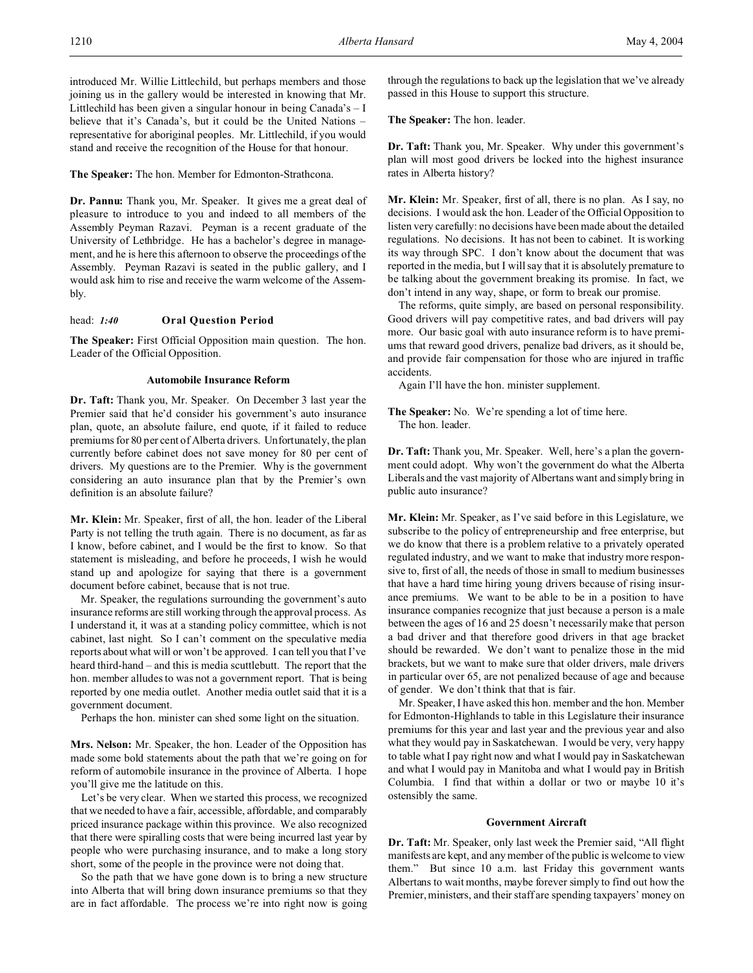introduced Mr. Willie Littlechild, but perhaps members and those joining us in the gallery would be interested in knowing that Mr. Littlechild has been given a singular honour in being Canada's – I believe that it's Canada's, but it could be the United Nations – representative for aboriginal peoples. Mr. Littlechild, if you would stand and receive the recognition of the House for that honour.

**The Speaker:** The hon. Member for Edmonton-Strathcona.

**Dr. Pannu:** Thank you, Mr. Speaker. It gives me a great deal of pleasure to introduce to you and indeed to all members of the Assembly Peyman Razavi. Peyman is a recent graduate of the University of Lethbridge. He has a bachelor's degree in management, and he is here this afternoon to observe the proceedings of the Assembly. Peyman Razavi is seated in the public gallery, and I would ask him to rise and receive the warm welcome of the Assembly.

### head: *1:40* **Oral Question Period**

**The Speaker:** First Official Opposition main question. The hon. Leader of the Official Opposition.

#### **Automobile Insurance Reform**

**Dr. Taft:** Thank you, Mr. Speaker. On December 3 last year the Premier said that he'd consider his government's auto insurance plan, quote, an absolute failure, end quote, if it failed to reduce premiums for 80 per cent of Alberta drivers. Unfortunately, the plan currently before cabinet does not save money for 80 per cent of drivers. My questions are to the Premier. Why is the government considering an auto insurance plan that by the Premier's own definition is an absolute failure?

**Mr. Klein:** Mr. Speaker, first of all, the hon. leader of the Liberal Party is not telling the truth again. There is no document, as far as I know, before cabinet, and I would be the first to know. So that statement is misleading, and before he proceeds, I wish he would stand up and apologize for saying that there is a government document before cabinet, because that is not true.

Mr. Speaker, the regulations surrounding the government's auto insurance reforms are still working through the approval process. As I understand it, it was at a standing policy committee, which is not cabinet, last night. So I can't comment on the speculative media reports about what will or won't be approved. I can tell you that I've heard third-hand – and this is media scuttlebutt. The report that the hon. member alludes to was not a government report. That is being reported by one media outlet. Another media outlet said that it is a government document.

Perhaps the hon. minister can shed some light on the situation.

**Mrs. Nelson:** Mr. Speaker, the hon. Leader of the Opposition has made some bold statements about the path that we're going on for reform of automobile insurance in the province of Alberta. I hope you'll give me the latitude on this.

Let's be very clear. When we started this process, we recognized that we needed to have a fair, accessible, affordable, and comparably priced insurance package within this province. We also recognized that there were spiralling costs that were being incurred last year by people who were purchasing insurance, and to make a long story short, some of the people in the province were not doing that.

So the path that we have gone down is to bring a new structure into Alberta that will bring down insurance premiums so that they are in fact affordable. The process we're into right now is going

through the regulations to back up the legislation that we've already passed in this House to support this structure.

**The Speaker:** The hon. leader.

**Dr. Taft:** Thank you, Mr. Speaker. Why under this government's plan will most good drivers be locked into the highest insurance rates in Alberta history?

**Mr. Klein:** Mr. Speaker, first of all, there is no plan. As I say, no decisions. I would ask the hon. Leader of the Official Opposition to listen very carefully: no decisions have been made about the detailed regulations. No decisions. It has not been to cabinet. It is working its way through SPC. I don't know about the document that was reported in the media, but I will say that it is absolutely premature to be talking about the government breaking its promise. In fact, we don't intend in any way, shape, or form to break our promise.

The reforms, quite simply, are based on personal responsibility. Good drivers will pay competitive rates, and bad drivers will pay more. Our basic goal with auto insurance reform is to have premiums that reward good drivers, penalize bad drivers, as it should be, and provide fair compensation for those who are injured in traffic accidents.

Again I'll have the hon. minister supplement.

**The Speaker:** No. We're spending a lot of time here. The hon. leader.

**Dr. Taft:** Thank you, Mr. Speaker. Well, here's a plan the government could adopt. Why won't the government do what the Alberta Liberals and the vast majority of Albertans want and simply bring in public auto insurance?

**Mr. Klein:** Mr. Speaker, as I've said before in this Legislature, we subscribe to the policy of entrepreneurship and free enterprise, but we do know that there is a problem relative to a privately operated regulated industry, and we want to make that industry more responsive to, first of all, the needs of those in small to medium businesses that have a hard time hiring young drivers because of rising insurance premiums. We want to be able to be in a position to have insurance companies recognize that just because a person is a male between the ages of 16 and 25 doesn't necessarily make that person a bad driver and that therefore good drivers in that age bracket should be rewarded. We don't want to penalize those in the mid brackets, but we want to make sure that older drivers, male drivers in particular over 65, are not penalized because of age and because of gender. We don't think that that is fair.

Mr. Speaker, I have asked this hon. member and the hon. Member for Edmonton-Highlands to table in this Legislature their insurance premiums for this year and last year and the previous year and also what they would pay in Saskatchewan. I would be very, very happy to table what I pay right now and what I would pay in Saskatchewan and what I would pay in Manitoba and what I would pay in British Columbia. I find that within a dollar or two or maybe 10 it's ostensibly the same.

### **Government Aircraft**

**Dr. Taft:** Mr. Speaker, only last week the Premier said, "All flight manifests are kept, and any member of the public is welcome to view them." But since 10 a.m. last Friday this government wants Albertans to wait months, maybe forever simply to find out how the Premier, ministers, and their staff are spending taxpayers' money on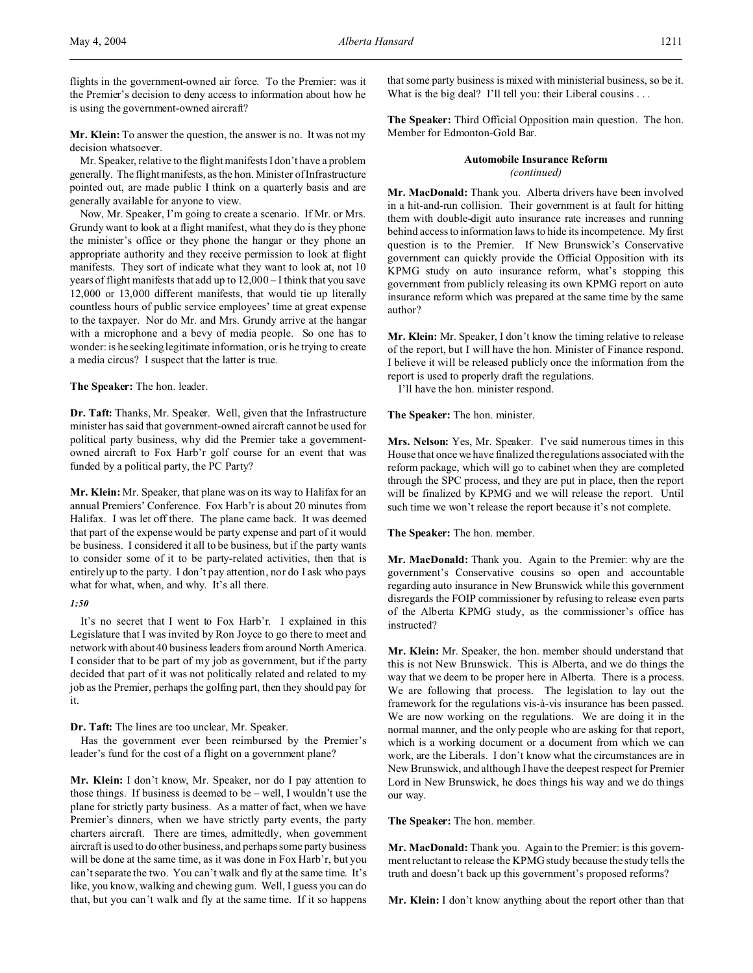flights in the government-owned air force. To the Premier: was it the Premier's decision to deny access to information about how he is using the government-owned aircraft?

**Mr. Klein:** To answer the question, the answer is no. It was not my decision whatsoever.

Mr. Speaker, relative to the flight manifests I don't have a problem generally. The flight manifests, as the hon. Minister of Infrastructure pointed out, are made public I think on a quarterly basis and are generally available for anyone to view.

Now, Mr. Speaker, I'm going to create a scenario. If Mr. or Mrs. Grundy want to look at a flight manifest, what they do is they phone the minister's office or they phone the hangar or they phone an appropriate authority and they receive permission to look at flight manifests. They sort of indicate what they want to look at, not 10 years of flight manifests that add up to 12,000 – I think that you save 12,000 or 13,000 different manifests, that would tie up literally countless hours of public service employees' time at great expense to the taxpayer. Nor do Mr. and Mrs. Grundy arrive at the hangar with a microphone and a bevy of media people. So one has to wonder: is he seeking legitimate information, or is he trying to create a media circus? I suspect that the latter is true.

### **The Speaker:** The hon. leader.

**Dr. Taft:** Thanks, Mr. Speaker. Well, given that the Infrastructure minister has said that government-owned aircraft cannot be used for political party business, why did the Premier take a governmentowned aircraft to Fox Harb'r golf course for an event that was funded by a political party, the PC Party?

**Mr. Klein:** Mr. Speaker, that plane was on its way to Halifax for an annual Premiers' Conference. Fox Harb'r is about 20 minutes from Halifax. I was let off there. The plane came back. It was deemed that part of the expense would be party expense and part of it would be business. I considered it all to be business, but if the party wants to consider some of it to be party-related activities, then that is entirely up to the party. I don't pay attention, nor do I ask who pays what for what, when, and why. It's all there.

### *1:50*

It's no secret that I went to Fox Harb'r. I explained in this Legislature that I was invited by Ron Joyce to go there to meet and network with about 40 business leaders from around North America. I consider that to be part of my job as government, but if the party decided that part of it was not politically related and related to my job as the Premier, perhaps the golfing part, then they should pay for it.

**Dr. Taft:** The lines are too unclear, Mr. Speaker.

Has the government ever been reimbursed by the Premier's leader's fund for the cost of a flight on a government plane?

**Mr. Klein:** I don't know, Mr. Speaker, nor do I pay attention to those things. If business is deemed to be – well, I wouldn't use the plane for strictly party business. As a matter of fact, when we have Premier's dinners, when we have strictly party events, the party charters aircraft. There are times, admittedly, when government aircraft is used to do other business, and perhaps some party business will be done at the same time, as it was done in Fox Harb'r, but you can't separate the two. You can't walk and fly at the same time. It's like, you know, walking and chewing gum. Well, I guess you can do that, but you can't walk and fly at the same time. If it so happens

that some party business is mixed with ministerial business, so be it. What is the big deal? I'll tell you: their Liberal cousins . . .

**The Speaker:** Third Official Opposition main question. The hon. Member for Edmonton-Gold Bar.

### **Automobile Insurance Reform** *(continued)*

**Mr. MacDonald:** Thank you. Alberta drivers have been involved in a hit-and-run collision. Their government is at fault for hitting them with double-digit auto insurance rate increases and running behind access to information laws to hide its incompetence. My first question is to the Premier. If New Brunswick's Conservative government can quickly provide the Official Opposition with its KPMG study on auto insurance reform, what's stopping this government from publicly releasing its own KPMG report on auto insurance reform which was prepared at the same time by the same author?

**Mr. Klein:** Mr. Speaker, I don't know the timing relative to release of the report, but I will have the hon. Minister of Finance respond. I believe it will be released publicly once the information from the report is used to properly draft the regulations.

I'll have the hon. minister respond.

### **The Speaker:** The hon. minister.

**Mrs. Nelson:** Yes, Mr. Speaker. I've said numerous times in this House that once we have finalized the regulations associated with the reform package, which will go to cabinet when they are completed through the SPC process, and they are put in place, then the report will be finalized by KPMG and we will release the report. Until such time we won't release the report because it's not complete.

### **The Speaker:** The hon. member.

**Mr. MacDonald:** Thank you. Again to the Premier: why are the government's Conservative cousins so open and accountable regarding auto insurance in New Brunswick while this government disregards the FOIP commissioner by refusing to release even parts of the Alberta KPMG study, as the commissioner's office has instructed?

**Mr. Klein:** Mr. Speaker, the hon. member should understand that this is not New Brunswick. This is Alberta, and we do things the way that we deem to be proper here in Alberta. There is a process. We are following that process. The legislation to lay out the framework for the regulations vis-à-vis insurance has been passed. We are now working on the regulations. We are doing it in the normal manner, and the only people who are asking for that report, which is a working document or a document from which we can work, are the Liberals. I don't know what the circumstances are in New Brunswick, and although I have the deepest respect for Premier Lord in New Brunswick, he does things his way and we do things our way.

**The Speaker:** The hon. member.

**Mr. MacDonald:** Thank you. Again to the Premier: is this government reluctant to release the KPMG study because the study tells the truth and doesn't back up this government's proposed reforms?

**Mr. Klein:** I don't know anything about the report other than that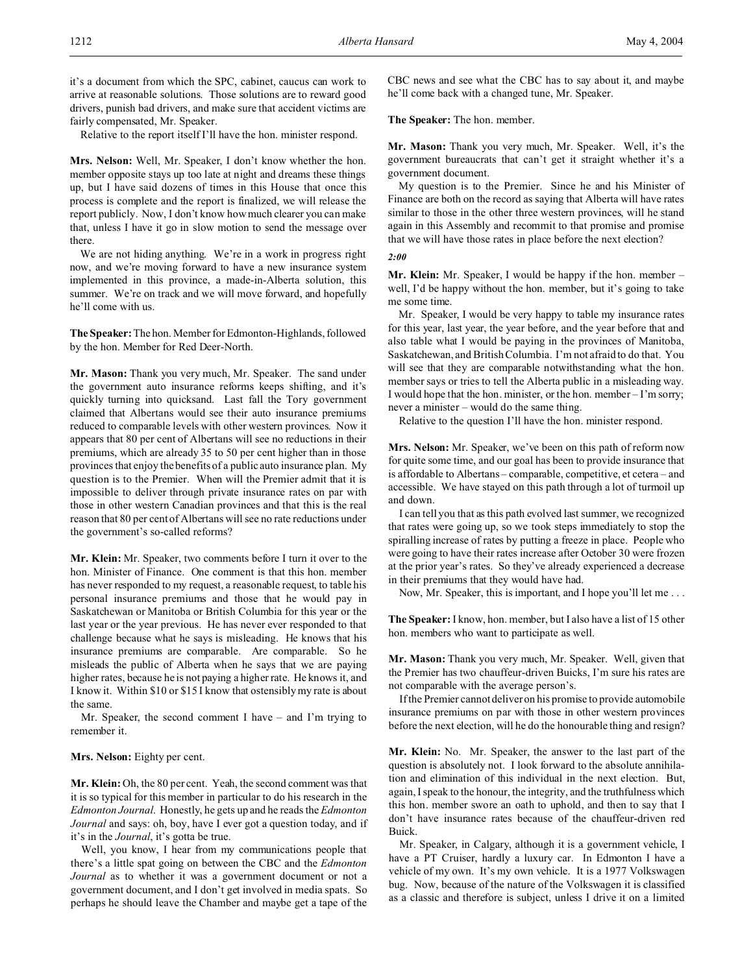it's a document from which the SPC, cabinet, caucus can work to arrive at reasonable solutions. Those solutions are to reward good drivers, punish bad drivers, and make sure that accident victims are fairly compensated, Mr. Speaker.

Relative to the report itself I'll have the hon. minister respond.

**Mrs. Nelson:** Well, Mr. Speaker, I don't know whether the hon. member opposite stays up too late at night and dreams these things up, but I have said dozens of times in this House that once this process is complete and the report is finalized, we will release the report publicly. Now, I don't know how much clearer you can make that, unless I have it go in slow motion to send the message over there.

We are not hiding anything. We're in a work in progress right now, and we're moving forward to have a new insurance system implemented in this province, a made-in-Alberta solution, this summer. We're on track and we will move forward, and hopefully he'll come with us.

**The Speaker:** The hon. Member for Edmonton-Highlands, followed by the hon. Member for Red Deer-North.

**Mr. Mason:** Thank you very much, Mr. Speaker. The sand under the government auto insurance reforms keeps shifting, and it's quickly turning into quicksand. Last fall the Tory government claimed that Albertans would see their auto insurance premiums reduced to comparable levels with other western provinces. Now it appears that 80 per cent of Albertans will see no reductions in their premiums, which are already 35 to 50 per cent higher than in those provinces that enjoy the benefits of a public auto insurance plan. My question is to the Premier. When will the Premier admit that it is impossible to deliver through private insurance rates on par with those in other western Canadian provinces and that this is the real reason that 80 per cent of Albertans will see no rate reductions under the government's so-called reforms?

**Mr. Klein:** Mr. Speaker, two comments before I turn it over to the hon. Minister of Finance. One comment is that this hon. member has never responded to my request, a reasonable request, to table his personal insurance premiums and those that he would pay in Saskatchewan or Manitoba or British Columbia for this year or the last year or the year previous. He has never ever responded to that challenge because what he says is misleading. He knows that his insurance premiums are comparable. Are comparable. So he misleads the public of Alberta when he says that we are paying higher rates, because he is not paying a higher rate. He knows it, and I know it. Within \$10 or \$15 I know that ostensibly my rate is about the same.

Mr. Speaker, the second comment I have – and I'm trying to remember it.

### **Mrs. Nelson:** Eighty per cent.

**Mr. Klein:** Oh, the 80 per cent. Yeah, the second comment was that it is so typical for this member in particular to do his research in the *Edmonton Journal*. Honestly, he gets up and he reads the *Edmonton Journal* and says: oh, boy, have I ever got a question today, and if it's in the *Journal*, it's gotta be true.

Well, you know, I hear from my communications people that there's a little spat going on between the CBC and the *Edmonton Journal* as to whether it was a government document or not a government document, and I don't get involved in media spats. So perhaps he should leave the Chamber and maybe get a tape of the CBC news and see what the CBC has to say about it, and maybe he'll come back with a changed tune, Mr. Speaker.

### **The Speaker:** The hon. member.

**Mr. Mason:** Thank you very much, Mr. Speaker. Well, it's the government bureaucrats that can't get it straight whether it's a government document.

My question is to the Premier. Since he and his Minister of Finance are both on the record as saying that Alberta will have rates similar to those in the other three western provinces, will he stand again in this Assembly and recommit to that promise and promise that we will have those rates in place before the next election?

#### *2:00*

**Mr. Klein:** Mr. Speaker, I would be happy if the hon. member – well, I'd be happy without the hon. member, but it's going to take me some time.

Mr. Speaker, I would be very happy to table my insurance rates for this year, last year, the year before, and the year before that and also table what I would be paying in the provinces of Manitoba, Saskatchewan, and British Columbia. I'm not afraid to do that. You will see that they are comparable notwithstanding what the hon. member says or tries to tell the Alberta public in a misleading way. I would hope that the hon. minister, or the hon. member – I'm sorry; never a minister – would do the same thing.

Relative to the question I'll have the hon. minister respond.

**Mrs. Nelson:** Mr. Speaker, we've been on this path of reform now for quite some time, and our goal has been to provide insurance that is affordable to Albertans – comparable, competitive, et cetera – and accessible. We have stayed on this path through a lot of turmoil up and down.

I can tell you that as this path evolved last summer, we recognized that rates were going up, so we took steps immediately to stop the spiralling increase of rates by putting a freeze in place. People who were going to have their rates increase after October 30 were frozen at the prior year's rates. So they've already experienced a decrease in their premiums that they would have had.

Now, Mr. Speaker, this is important, and I hope you'll let me . . .

**The Speaker:** I know, hon. member, but I also have a list of 15 other hon. members who want to participate as well.

**Mr. Mason:** Thank you very much, Mr. Speaker. Well, given that the Premier has two chauffeur-driven Buicks, I'm sure his rates are not comparable with the average person's.

If the Premier cannot deliver on his promise to provide automobile insurance premiums on par with those in other western provinces before the next election, will he do the honourable thing and resign?

**Mr. Klein:** No. Mr. Speaker, the answer to the last part of the question is absolutely not. I look forward to the absolute annihilation and elimination of this individual in the next election. But, again, I speak to the honour, the integrity, and the truthfulness which this hon. member swore an oath to uphold, and then to say that I don't have insurance rates because of the chauffeur-driven red Buick.

Mr. Speaker, in Calgary, although it is a government vehicle, I have a PT Cruiser, hardly a luxury car. In Edmonton I have a vehicle of my own. It's my own vehicle. It is a 1977 Volkswagen bug. Now, because of the nature of the Volkswagen it is classified as a classic and therefore is subject, unless I drive it on a limited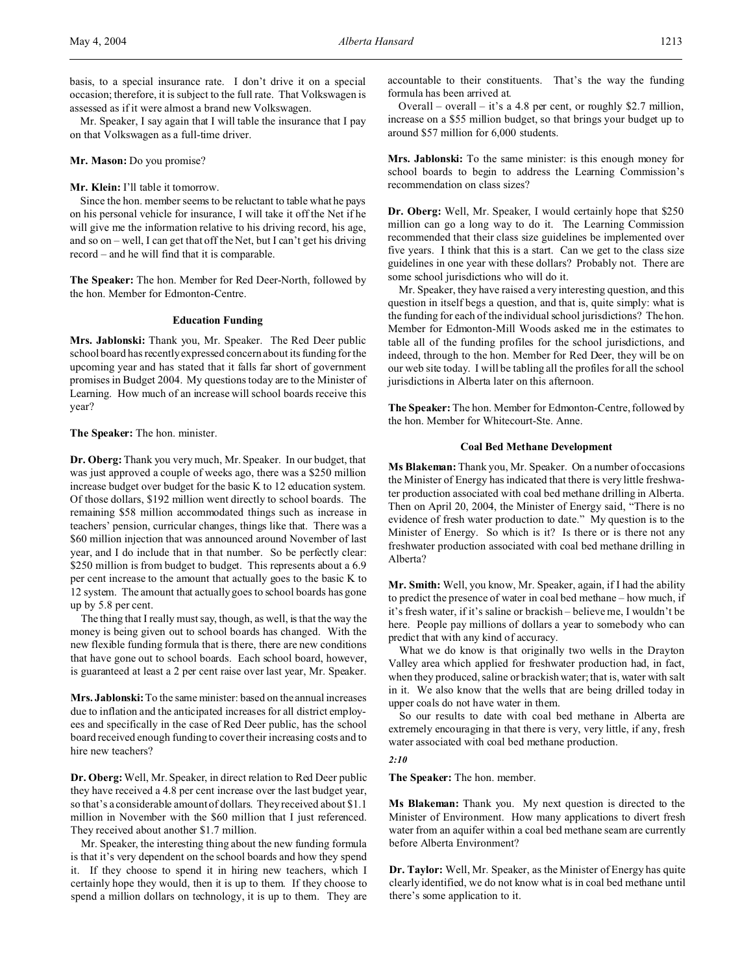Mr. Speaker, I say again that I will table the insurance that I pay on that Volkswagen as a full-time driver.

### **Mr. Mason:** Do you promise?

### **Mr. Klein:** I'll table it tomorrow.

Since the hon. member seems to be reluctant to table what he pays on his personal vehicle for insurance, I will take it off the Net if he will give me the information relative to his driving record, his age, and so on – well, I can get that off the Net, but I can't get his driving record – and he will find that it is comparable.

**The Speaker:** The hon. Member for Red Deer-North, followed by the hon. Member for Edmonton-Centre.

#### **Education Funding**

**Mrs. Jablonski:** Thank you, Mr. Speaker. The Red Deer public school board has recently expressed concern about its funding for the upcoming year and has stated that it falls far short of government promises in Budget 2004. My questions today are to the Minister of Learning. How much of an increase will school boards receive this year?

#### **The Speaker:** The hon. minister.

**Dr. Oberg:**Thank you very much, Mr. Speaker. In our budget, that was just approved a couple of weeks ago, there was a \$250 million increase budget over budget for the basic K to 12 education system. Of those dollars, \$192 million went directly to school boards. The remaining \$58 million accommodated things such as increase in teachers' pension, curricular changes, things like that. There was a \$60 million injection that was announced around November of last year, and I do include that in that number. So be perfectly clear: \$250 million is from budget to budget. This represents about a 6.9 per cent increase to the amount that actually goes to the basic K to 12 system. The amount that actually goes to school boards has gone up by 5.8 per cent.

The thing that I really must say, though, as well, is that the way the money is being given out to school boards has changed. With the new flexible funding formula that is there, there are new conditions that have gone out to school boards. Each school board, however, is guaranteed at least a 2 per cent raise over last year, Mr. Speaker.

**Mrs. Jablonski:**To the same minister: based on the annual increases due to inflation and the anticipated increases for all district employees and specifically in the case of Red Deer public, has the school board received enough funding to cover their increasing costs and to hire new teachers?

**Dr. Oberg:**Well, Mr. Speaker, in direct relation to Red Deer public they have received a 4.8 per cent increase over the last budget year, so that's a considerable amount of dollars. They received about \$1.1 million in November with the \$60 million that I just referenced. They received about another \$1.7 million.

Mr. Speaker, the interesting thing about the new funding formula is that it's very dependent on the school boards and how they spend it. If they choose to spend it in hiring new teachers, which I certainly hope they would, then it is up to them. If they choose to spend a million dollars on technology, it is up to them. They are accountable to their constituents. That's the way the funding formula has been arrived at.

Overall – overall – it's a 4.8 per cent, or roughly \$2.7 million, increase on a \$55 million budget, so that brings your budget up to around \$57 million for 6,000 students.

**Mrs. Jablonski:** To the same minister: is this enough money for school boards to begin to address the Learning Commission's recommendation on class sizes?

**Dr. Oberg:** Well, Mr. Speaker, I would certainly hope that \$250 million can go a long way to do it. The Learning Commission recommended that their class size guidelines be implemented over five years. I think that this is a start. Can we get to the class size guidelines in one year with these dollars? Probably not. There are some school jurisdictions who will do it.

Mr. Speaker, they have raised a very interesting question, and this question in itself begs a question, and that is, quite simply: what is the funding for each of the individual school jurisdictions? The hon. Member for Edmonton-Mill Woods asked me in the estimates to table all of the funding profiles for the school jurisdictions, and indeed, through to the hon. Member for Red Deer, they will be on our web site today. I will be tabling all the profiles for all the school jurisdictions in Alberta later on this afternoon.

**The Speaker:** The hon. Member for Edmonton-Centre, followed by the hon. Member for Whitecourt-Ste. Anne.

### **Coal Bed Methane Development**

**Ms Blakeman:** Thank you, Mr. Speaker. On a number of occasions the Minister of Energy has indicated that there is very little freshwater production associated with coal bed methane drilling in Alberta. Then on April 20, 2004, the Minister of Energy said, "There is no evidence of fresh water production to date." My question is to the Minister of Energy. So which is it? Is there or is there not any freshwater production associated with coal bed methane drilling in Alberta?

**Mr. Smith:** Well, you know, Mr. Speaker, again, if I had the ability to predict the presence of water in coal bed methane – how much, if it's fresh water, if it's saline or brackish – believe me, I wouldn't be here. People pay millions of dollars a year to somebody who can predict that with any kind of accuracy.

What we do know is that originally two wells in the Drayton Valley area which applied for freshwater production had, in fact, when they produced, saline or brackish water; that is, water with salt in it. We also know that the wells that are being drilled today in upper coals do not have water in them.

So our results to date with coal bed methane in Alberta are extremely encouraging in that there is very, very little, if any, fresh water associated with coal bed methane production.

### *2:10*

**The Speaker:** The hon. member.

**Ms Blakeman:** Thank you. My next question is directed to the Minister of Environment. How many applications to divert fresh water from an aquifer within a coal bed methane seam are currently before Alberta Environment?

**Dr. Taylor:** Well, Mr. Speaker, as the Minister of Energy has quite clearly identified, we do not know what is in coal bed methane until there's some application to it.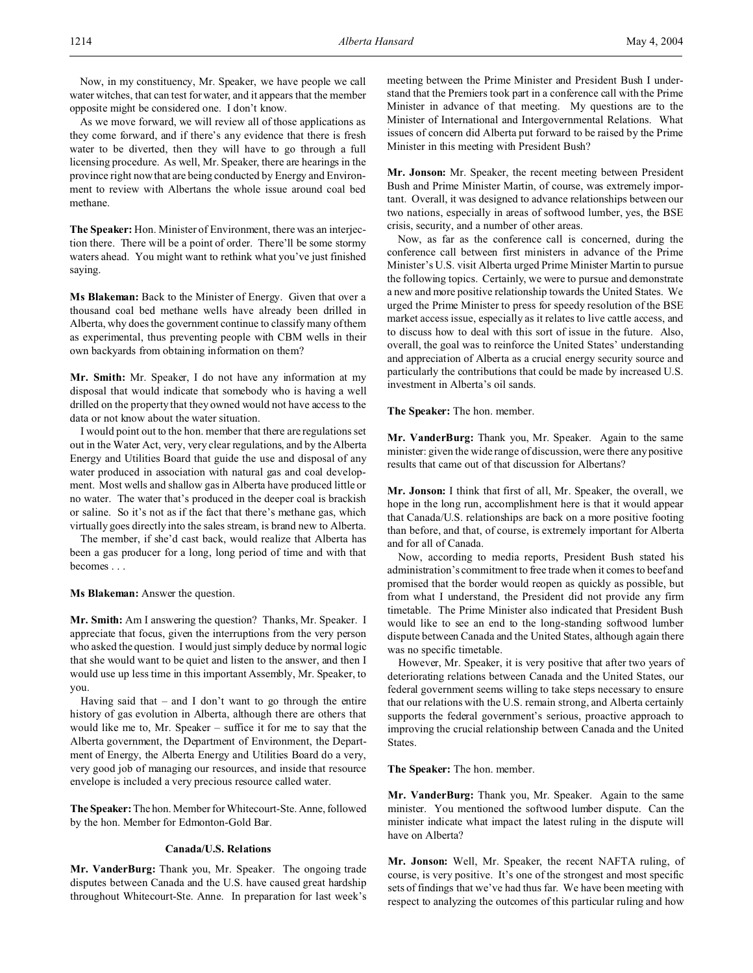Now, in my constituency, Mr. Speaker, we have people we call water witches, that can test for water, and it appears that the member opposite might be considered one. I don't know.

As we move forward, we will review all of those applications as they come forward, and if there's any evidence that there is fresh water to be diverted, then they will have to go through a full licensing procedure. As well, Mr. Speaker, there are hearings in the province right now that are being conducted by Energy and Environment to review with Albertans the whole issue around coal bed methane.

**The Speaker:** Hon. Minister of Environment, there was an interjection there. There will be a point of order. There'll be some stormy waters ahead. You might want to rethink what you've just finished saying.

**Ms Blakeman:** Back to the Minister of Energy. Given that over a thousand coal bed methane wells have already been drilled in Alberta, why does the government continue to classify many of them as experimental, thus preventing people with CBM wells in their own backyards from obtaining information on them?

**Mr. Smith:** Mr. Speaker, I do not have any information at my disposal that would indicate that somebody who is having a well drilled on the property that they owned would not have access to the data or not know about the water situation.

I would point out to the hon. member that there are regulations set out in the Water Act, very, very clear regulations, and by the Alberta Energy and Utilities Board that guide the use and disposal of any water produced in association with natural gas and coal development. Most wells and shallow gas in Alberta have produced little or no water. The water that's produced in the deeper coal is brackish or saline. So it's not as if the fact that there's methane gas, which virtually goes directly into the sales stream, is brand new to Alberta.

The member, if she'd cast back, would realize that Alberta has been a gas producer for a long, long period of time and with that becomes . . .

**Ms Blakeman:** Answer the question.

**Mr. Smith:** Am I answering the question? Thanks, Mr. Speaker. I appreciate that focus, given the interruptions from the very person who asked the question. I would just simply deduce by normal logic that she would want to be quiet and listen to the answer, and then I would use up less time in this important Assembly, Mr. Speaker, to you.

Having said that – and I don't want to go through the entire history of gas evolution in Alberta, although there are others that would like me to, Mr. Speaker – suffice it for me to say that the Alberta government, the Department of Environment, the Department of Energy, the Alberta Energy and Utilities Board do a very, very good job of managing our resources, and inside that resource envelope is included a very precious resource called water.

**The Speaker:** The hon. Member for Whitecourt-Ste. Anne, followed by the hon. Member for Edmonton-Gold Bar.

## **Canada/U.S. Relations**

**Mr. VanderBurg:** Thank you, Mr. Speaker. The ongoing trade disputes between Canada and the U.S. have caused great hardship throughout Whitecourt-Ste. Anne. In preparation for last week's meeting between the Prime Minister and President Bush I understand that the Premiers took part in a conference call with the Prime Minister in advance of that meeting. My questions are to the Minister of International and Intergovernmental Relations. What issues of concern did Alberta put forward to be raised by the Prime Minister in this meeting with President Bush?

**Mr. Jonson:** Mr. Speaker, the recent meeting between President Bush and Prime Minister Martin, of course, was extremely important. Overall, it was designed to advance relationships between our two nations, especially in areas of softwood lumber, yes, the BSE crisis, security, and a number of other areas.

Now, as far as the conference call is concerned, during the conference call between first ministers in advance of the Prime Minister's U.S. visit Alberta urged Prime Minister Martin to pursue the following topics. Certainly, we were to pursue and demonstrate a new and more positive relationship towards the United States. We urged the Prime Minister to press for speedy resolution of the BSE market access issue, especially as it relates to live cattle access, and to discuss how to deal with this sort of issue in the future. Also, overall, the goal was to reinforce the United States' understanding and appreciation of Alberta as a crucial energy security source and particularly the contributions that could be made by increased U.S. investment in Alberta's oil sands.

**The Speaker:** The hon. member.

**Mr. VanderBurg:** Thank you, Mr. Speaker. Again to the same minister: given the wide range of discussion, were there any positive results that came out of that discussion for Albertans?

**Mr. Jonson:** I think that first of all, Mr. Speaker, the overall, we hope in the long run, accomplishment here is that it would appear that Canada/U.S. relationships are back on a more positive footing than before, and that, of course, is extremely important for Alberta and for all of Canada.

Now, according to media reports, President Bush stated his administration's commitment to free trade when it comes to beef and promised that the border would reopen as quickly as possible, but from what I understand, the President did not provide any firm timetable. The Prime Minister also indicated that President Bush would like to see an end to the long-standing softwood lumber dispute between Canada and the United States, although again there was no specific timetable.

However, Mr. Speaker, it is very positive that after two years of deteriorating relations between Canada and the United States, our federal government seems willing to take steps necessary to ensure that our relations with the U.S. remain strong, and Alberta certainly supports the federal government's serious, proactive approach to improving the crucial relationship between Canada and the United States.

**The Speaker:** The hon. member.

**Mr. VanderBurg:** Thank you, Mr. Speaker. Again to the same minister. You mentioned the softwood lumber dispute. Can the minister indicate what impact the latest ruling in the dispute will have on Alberta?

**Mr. Jonson:** Well, Mr. Speaker, the recent NAFTA ruling, of course, is very positive. It's one of the strongest and most specific sets of findings that we've had thus far. We have been meeting with respect to analyzing the outcomes of this particular ruling and how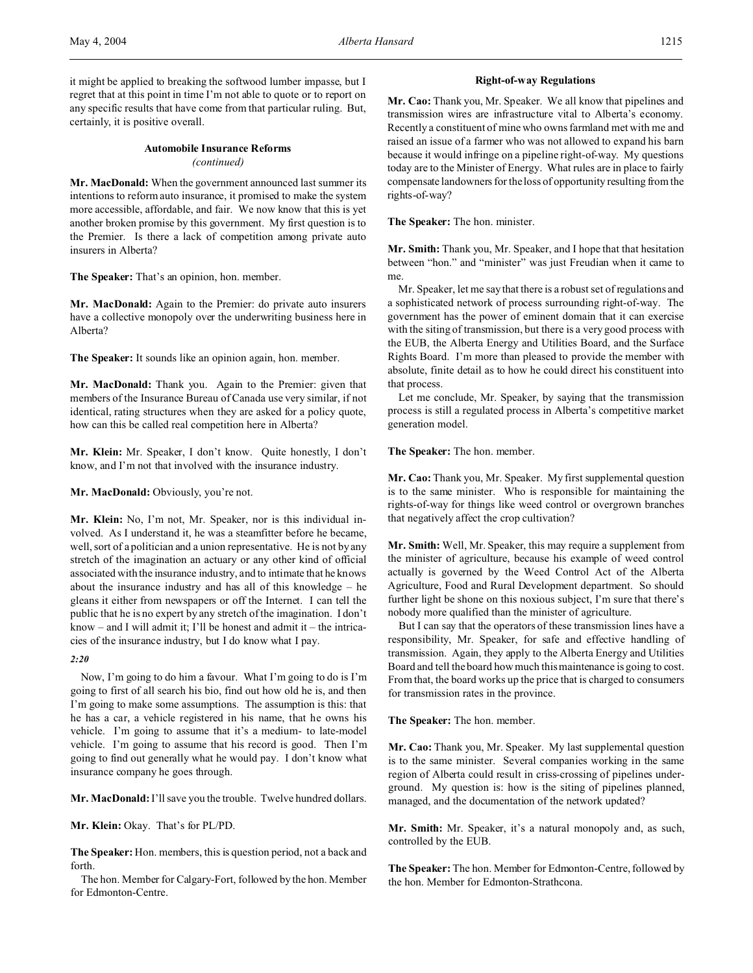# **Automobile Insurance Reforms** *(continued)*

**Mr. MacDonald:** When the government announced last summer its intentions to reform auto insurance, it promised to make the system more accessible, affordable, and fair. We now know that this is yet another broken promise by this government. My first question is to the Premier. Is there a lack of competition among private auto insurers in Alberta?

**The Speaker:** That's an opinion, hon. member.

**Mr. MacDonald:** Again to the Premier: do private auto insurers have a collective monopoly over the underwriting business here in Alberta?

**The Speaker:** It sounds like an opinion again, hon. member.

**Mr. MacDonald:** Thank you. Again to the Premier: given that members of the Insurance Bureau of Canada use very similar, if not identical, rating structures when they are asked for a policy quote, how can this be called real competition here in Alberta?

**Mr. Klein:** Mr. Speaker, I don't know. Quite honestly, I don't know, and I'm not that involved with the insurance industry.

Mr. MacDonald: Obviously, you're not.

**Mr. Klein:** No, I'm not, Mr. Speaker, nor is this individual involved. As I understand it, he was a steamfitter before he became, well, sort of a politician and a union representative. He is not by any stretch of the imagination an actuary or any other kind of official associated with the insurance industry, and to intimate that he knows about the insurance industry and has all of this knowledge – he gleans it either from newspapers or off the Internet. I can tell the public that he is no expert by any stretch of the imagination. I don't know – and I will admit it; I'll be honest and admit it – the intricacies of the insurance industry, but I do know what I pay.

## *2:20*

Now, I'm going to do him a favour. What I'm going to do is I'm going to first of all search his bio, find out how old he is, and then I'm going to make some assumptions. The assumption is this: that he has a car, a vehicle registered in his name, that he owns his vehicle. I'm going to assume that it's a medium- to late-model vehicle. I'm going to assume that his record is good. Then I'm going to find out generally what he would pay. I don't know what insurance company he goes through.

**Mr. MacDonald:** I'll save you the trouble. Twelve hundred dollars.

**Mr. Klein:** Okay. That's for PL/PD.

**The Speaker:** Hon. members, this is question period, not a back and forth.

The hon. Member for Calgary-Fort, followed by the hon. Member for Edmonton-Centre.

## **Right-of-way Regulations**

**Mr. Cao:** Thank you, Mr. Speaker. We all know that pipelines and transmission wires are infrastructure vital to Alberta's economy. Recently a constituent of mine who owns farmland met with me and raised an issue of a farmer who was not allowed to expand his barn because it would infringe on a pipeline right-of-way. My questions today are to the Minister of Energy. What rules are in place to fairly compensate landowners for the loss of opportunity resulting from the rights-of-way?

**The Speaker:** The hon. minister.

**Mr. Smith:** Thank you, Mr. Speaker, and I hope that that hesitation between "hon." and "minister" was just Freudian when it came to me.

Mr. Speaker, let me say that there is a robust set of regulations and a sophisticated network of process surrounding right-of-way. The government has the power of eminent domain that it can exercise with the siting of transmission, but there is a very good process with the EUB, the Alberta Energy and Utilities Board, and the Surface Rights Board. I'm more than pleased to provide the member with absolute, finite detail as to how he could direct his constituent into that process.

Let me conclude, Mr. Speaker, by saying that the transmission process is still a regulated process in Alberta's competitive market generation model.

**The Speaker:** The hon. member.

**Mr. Cao:** Thank you, Mr. Speaker. My first supplemental question is to the same minister. Who is responsible for maintaining the rights-of-way for things like weed control or overgrown branches that negatively affect the crop cultivation?

**Mr. Smith:** Well, Mr. Speaker, this may require a supplement from the minister of agriculture, because his example of weed control actually is governed by the Weed Control Act of the Alberta Agriculture, Food and Rural Development department. So should further light be shone on this noxious subject, I'm sure that there's nobody more qualified than the minister of agriculture.

But I can say that the operators of these transmission lines have a responsibility, Mr. Speaker, for safe and effective handling of transmission. Again, they apply to the Alberta Energy and Utilities Board and tell the board how much this maintenance is going to cost. From that, the board works up the price that is charged to consumers for transmission rates in the province.

**The Speaker:** The hon. member.

**Mr. Cao:** Thank you, Mr. Speaker. My last supplemental question is to the same minister. Several companies working in the same region of Alberta could result in criss-crossing of pipelines underground. My question is: how is the siting of pipelines planned, managed, and the documentation of the network updated?

**Mr. Smith:** Mr. Speaker, it's a natural monopoly and, as such, controlled by the EUB.

**The Speaker:** The hon. Member for Edmonton-Centre, followed by the hon. Member for Edmonton-Strathcona.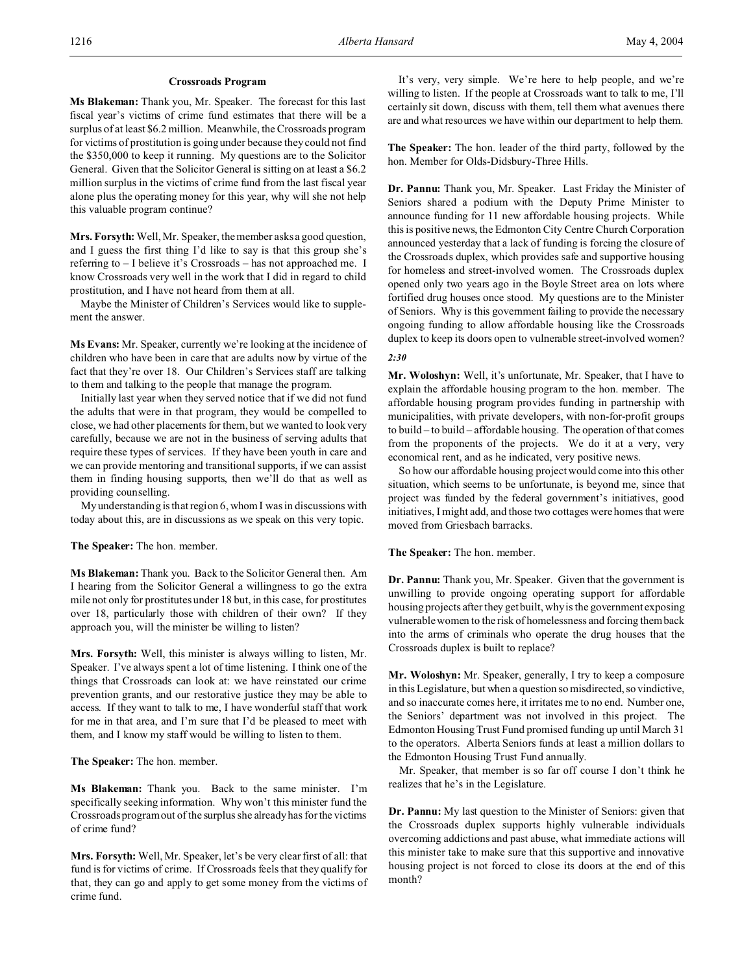## **Crossroads Program**

**Ms Blakeman:** Thank you, Mr. Speaker. The forecast for this last fiscal year's victims of crime fund estimates that there will be a surplus of at least \$6.2 million. Meanwhile, the Crossroads program for victims of prostitution is going under because they could not find the \$350,000 to keep it running. My questions are to the Solicitor General. Given that the Solicitor General is sitting on at least a \$6.2 million surplus in the victims of crime fund from the last fiscal year alone plus the operating money for this year, why will she not help this valuable program continue?

**Mrs. Forsyth:** Well, Mr. Speaker, the member asks a good question, and I guess the first thing I'd like to say is that this group she's referring to – I believe it's Crossroads – has not approached me. I know Crossroads very well in the work that I did in regard to child prostitution, and I have not heard from them at all.

Maybe the Minister of Children's Services would like to supplement the answer.

**Ms Evans:** Mr. Speaker, currently we're looking at the incidence of children who have been in care that are adults now by virtue of the fact that they're over 18. Our Children's Services staff are talking to them and talking to the people that manage the program.

Initially last year when they served notice that if we did not fund the adults that were in that program, they would be compelled to close, we had other placements for them, but we wanted to look very carefully, because we are not in the business of serving adults that require these types of services. If they have been youth in care and we can provide mentoring and transitional supports, if we can assist them in finding housing supports, then we'll do that as well as providing counselling.

My understanding is that region 6, whom I was in discussions with today about this, are in discussions as we speak on this very topic.

## **The Speaker:** The hon. member.

**Ms Blakeman:** Thank you. Back to the Solicitor General then. Am I hearing from the Solicitor General a willingness to go the extra mile not only for prostitutes under 18 but, in this case, for prostitutes over 18, particularly those with children of their own? If they approach you, will the minister be willing to listen?

**Mrs. Forsyth:** Well, this minister is always willing to listen, Mr. Speaker. I've always spent a lot of time listening. I think one of the things that Crossroads can look at: we have reinstated our crime prevention grants, and our restorative justice they may be able to access. If they want to talk to me, I have wonderful staff that work for me in that area, and I'm sure that I'd be pleased to meet with them, and I know my staff would be willing to listen to them.

**The Speaker:** The hon. member.

**Ms Blakeman:** Thank you. Back to the same minister. I'm specifically seeking information. Why won't this minister fund the Crossroads program out of the surplus she already has for the victims of crime fund?

**Mrs. Forsyth:** Well, Mr. Speaker, let's be very clear first of all: that fund is for victims of crime. If Crossroads feels that they qualify for that, they can go and apply to get some money from the victims of crime fund.

It's very, very simple. We're here to help people, and we're willing to listen. If the people at Crossroads want to talk to me, I'll certainly sit down, discuss with them, tell them what avenues there are and what resources we have within our department to help them.

**The Speaker:** The hon. leader of the third party, followed by the hon. Member for Olds-Didsbury-Three Hills.

**Dr. Pannu:** Thank you, Mr. Speaker. Last Friday the Minister of Seniors shared a podium with the Deputy Prime Minister to announce funding for 11 new affordable housing projects. While this is positive news, the Edmonton City Centre Church Corporation announced yesterday that a lack of funding is forcing the closure of the Crossroads duplex, which provides safe and supportive housing for homeless and street-involved women. The Crossroads duplex opened only two years ago in the Boyle Street area on lots where fortified drug houses once stood. My questions are to the Minister of Seniors. Why is this government failing to provide the necessary ongoing funding to allow affordable housing like the Crossroads duplex to keep its doors open to vulnerable street-involved women?

## *2:30*

**Mr. Woloshyn:** Well, it's unfortunate, Mr. Speaker, that I have to explain the affordable housing program to the hon. member. The affordable housing program provides funding in partnership with municipalities, with private developers, with non-for-profit groups to build – to build – affordable housing. The operation of that comes from the proponents of the projects. We do it at a very, very economical rent, and as he indicated, very positive news.

So how our affordable housing project would come into this other situation, which seems to be unfortunate, is beyond me, since that project was funded by the federal government's initiatives, good initiatives, I might add, and those two cottages were homes that were moved from Griesbach barracks.

**The Speaker:** The hon. member.

**Dr. Pannu:** Thank you, Mr. Speaker. Given that the government is unwilling to provide ongoing operating support for affordable housing projects after they get built, why is the government exposing vulnerable women to the risk of homelessness and forcing them back into the arms of criminals who operate the drug houses that the Crossroads duplex is built to replace?

**Mr. Woloshyn:** Mr. Speaker, generally, I try to keep a composure in this Legislature, but when a question so misdirected, so vindictive, and so inaccurate comes here, it irritates me to no end. Number one, the Seniors' department was not involved in this project. The Edmonton Housing Trust Fund promised funding up until March 31 to the operators. Alberta Seniors funds at least a million dollars to the Edmonton Housing Trust Fund annually.

Mr. Speaker, that member is so far off course I don't think he realizes that he's in the Legislature.

**Dr. Pannu:** My last question to the Minister of Seniors: given that the Crossroads duplex supports highly vulnerable individuals overcoming addictions and past abuse, what immediate actions will this minister take to make sure that this supportive and innovative housing project is not forced to close its doors at the end of this month?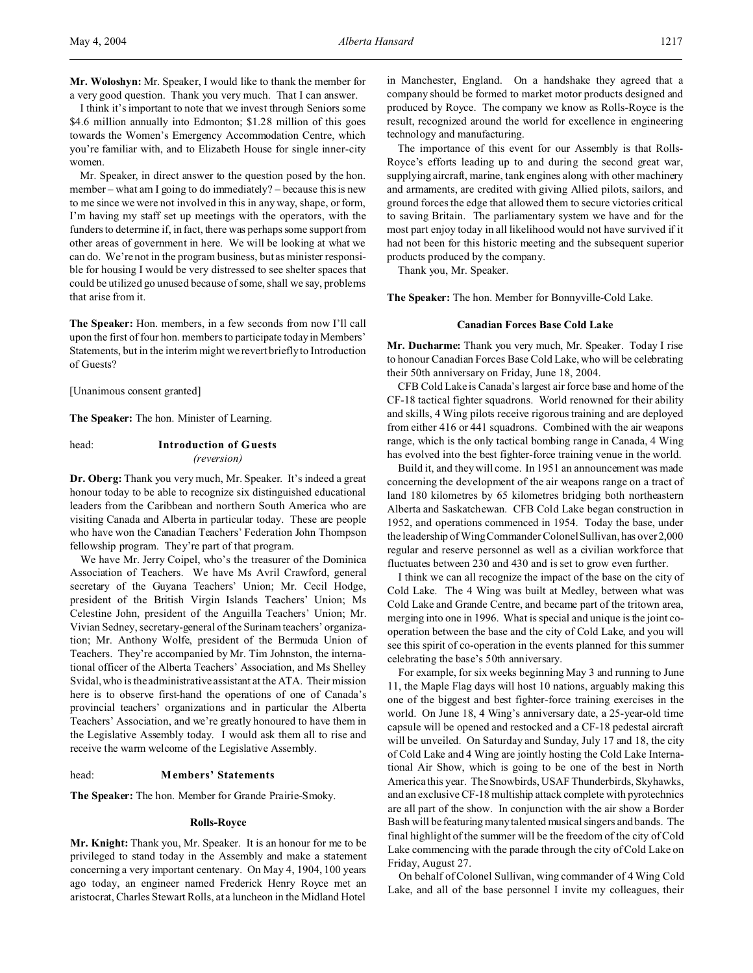**Mr. Woloshyn:** Mr. Speaker, I would like to thank the member for a very good question. Thank you very much. That I can answer.

I think it's important to note that we invest through Seniors some \$4.6 million annually into Edmonton; \$1.28 million of this goes towards the Women's Emergency Accommodation Centre, which you're familiar with, and to Elizabeth House for single inner-city women.

Mr. Speaker, in direct answer to the question posed by the hon. member – what am I going to do immediately? – because this is new to me since we were not involved in this in any way, shape, or form, I'm having my staff set up meetings with the operators, with the funders to determine if, in fact, there was perhaps some support from other areas of government in here. We will be looking at what we can do. We're not in the program business, but as minister responsible for housing I would be very distressed to see shelter spaces that could be utilized go unused because of some, shall we say, problems that arise from it.

**The Speaker:** Hon. members, in a few seconds from now I'll call upon the first of four hon. members to participate today in Members' Statements, but in the interim might we revert briefly to Introduction of Guests?

[Unanimous consent granted]

**The Speaker:** The hon. Minister of Learning.

# head: **Introduction of Guests** *(reversion)*

**Dr. Oberg:** Thank you very much, Mr. Speaker. It's indeed a great honour today to be able to recognize six distinguished educational leaders from the Caribbean and northern South America who are visiting Canada and Alberta in particular today. These are people who have won the Canadian Teachers' Federation John Thompson fellowship program. They're part of that program.

We have Mr. Jerry Coipel, who's the treasurer of the Dominica Association of Teachers. We have Ms Avril Crawford, general secretary of the Guyana Teachers' Union; Mr. Cecil Hodge, president of the British Virgin Islands Teachers' Union; Ms Celestine John, president of the Anguilla Teachers' Union; Mr. Vivian Sedney, secretary-general of the Surinam teachers' organization; Mr. Anthony Wolfe, president of the Bermuda Union of Teachers. They're accompanied by Mr. Tim Johnston, the international officer of the Alberta Teachers' Association, and Ms Shelley Svidal, who is the administrative assistant at the ATA. Their mission here is to observe first-hand the operations of one of Canada's provincial teachers' organizations and in particular the Alberta Teachers' Association, and we're greatly honoured to have them in the Legislative Assembly today. I would ask them all to rise and receive the warm welcome of the Legislative Assembly.

### head: **Members' Statements**

**The Speaker:** The hon. Member for Grande Prairie-Smoky.

#### **Rolls-Royce**

**Mr. Knight:** Thank you, Mr. Speaker. It is an honour for me to be privileged to stand today in the Assembly and make a statement concerning a very important centenary. On May 4, 1904, 100 years ago today, an engineer named Frederick Henry Royce met an aristocrat, Charles Stewart Rolls, at a luncheon in the Midland Hotel

in Manchester, England. On a handshake they agreed that a company should be formed to market motor products designed and produced by Royce. The company we know as Rolls-Royce is the result, recognized around the world for excellence in engineering technology and manufacturing.

The importance of this event for our Assembly is that Rolls-Royce's efforts leading up to and during the second great war, supplying aircraft, marine, tank engines along with other machinery and armaments, are credited with giving Allied pilots, sailors, and ground forces the edge that allowed them to secure victories critical to saving Britain. The parliamentary system we have and for the most part enjoy today in all likelihood would not have survived if it had not been for this historic meeting and the subsequent superior products produced by the company.

Thank you, Mr. Speaker.

**The Speaker:** The hon. Member for Bonnyville-Cold Lake.

## **Canadian Forces Base Cold Lake**

**Mr. Ducharme:** Thank you very much, Mr. Speaker. Today I rise to honour Canadian Forces Base Cold Lake, who will be celebrating their 50th anniversary on Friday, June 18, 2004.

CFB Cold Lake is Canada's largest air force base and home of the CF-18 tactical fighter squadrons. World renowned for their ability and skills, 4 Wing pilots receive rigorous training and are deployed from either 416 or 441 squadrons. Combined with the air weapons range, which is the only tactical bombing range in Canada, 4 Wing has evolved into the best fighter-force training venue in the world.

Build it, and they will come. In 1951 an announcement was made concerning the development of the air weapons range on a tract of land 180 kilometres by 65 kilometres bridging both northeastern Alberta and Saskatchewan. CFB Cold Lake began construction in 1952, and operations commenced in 1954. Today the base, under the leadership of Wing Commander Colonel Sullivan, has over 2,000 regular and reserve personnel as well as a civilian workforce that fluctuates between 230 and 430 and is set to grow even further.

I think we can all recognize the impact of the base on the city of Cold Lake. The 4 Wing was built at Medley, between what was Cold Lake and Grande Centre, and became part of the tritown area, merging into one in 1996. What is special and unique is the joint cooperation between the base and the city of Cold Lake, and you will see this spirit of co-operation in the events planned for this summer celebrating the base's 50th anniversary.

For example, for six weeks beginning May 3 and running to June 11, the Maple Flag days will host 10 nations, arguably making this one of the biggest and best fighter-force training exercises in the world. On June 18, 4 Wing's anniversary date, a 25-year-old time capsule will be opened and restocked and a CF-18 pedestal aircraft will be unveiled. On Saturday and Sunday, July 17 and 18, the city of Cold Lake and 4 Wing are jointly hosting the Cold Lake International Air Show, which is going to be one of the best in North America this year. The Snowbirds, USAF Thunderbirds, Skyhawks, and an exclusive CF-18 multiship attack complete with pyrotechnics are all part of the show. In conjunction with the air show a Border Bash will be featuring many talented musical singers and bands. The final highlight of the summer will be the freedom of the city of Cold Lake commencing with the parade through the city of Cold Lake on Friday, August 27.

On behalf of Colonel Sullivan, wing commander of 4 Wing Cold Lake, and all of the base personnel I invite my colleagues, their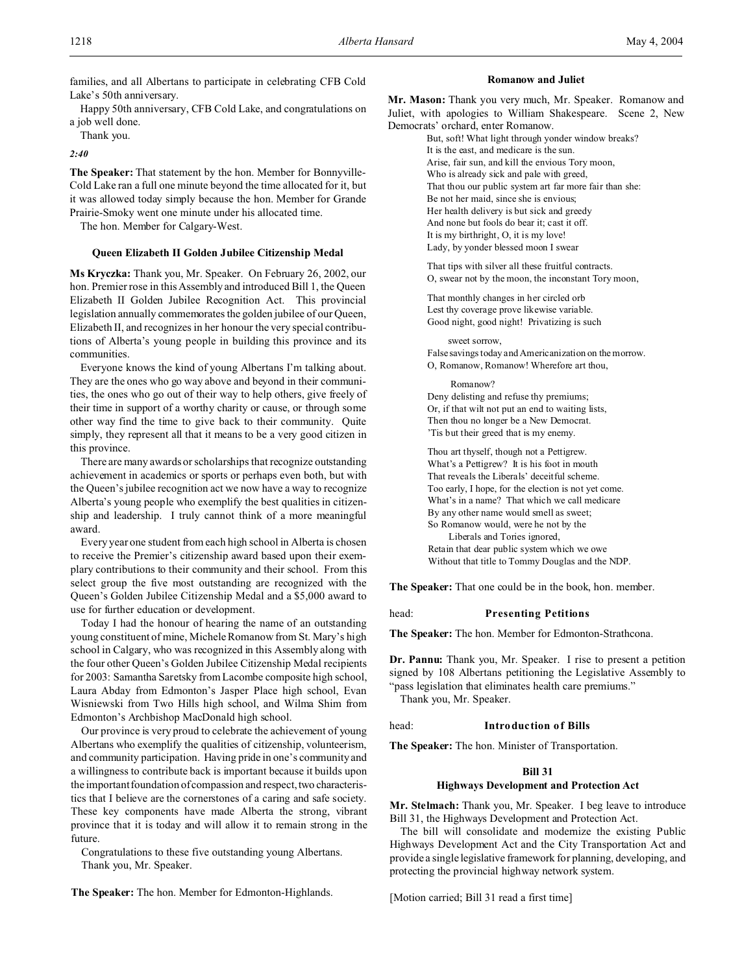families, and all Albertans to participate in celebrating CFB Cold Lake's 50th anniversary.

Happy 50th anniversary, CFB Cold Lake, and congratulations on a job well done.

Thank you.

*2:40*

**The Speaker:** That statement by the hon. Member for Bonnyville-Cold Lake ran a full one minute beyond the time allocated for it, but it was allowed today simply because the hon. Member for Grande Prairie-Smoky went one minute under his allocated time.

The hon. Member for Calgary-West.

#### **Queen Elizabeth II Golden Jubilee Citizenship Medal**

**Ms Kryczka:** Thank you, Mr. Speaker. On February 26, 2002, our hon. Premier rose in this Assembly and introduced Bill 1, the Queen Elizabeth II Golden Jubilee Recognition Act. This provincial legislation annually commemorates the golden jubilee of our Queen, Elizabeth II, and recognizes in her honour the very special contributions of Alberta's young people in building this province and its communities.

Everyone knows the kind of young Albertans I'm talking about. They are the ones who go way above and beyond in their communities, the ones who go out of their way to help others, give freely of their time in support of a worthy charity or cause, or through some other way find the time to give back to their community. Quite simply, they represent all that it means to be a very good citizen in this province.

There are many awards or scholarships that recognize outstanding achievement in academics or sports or perhaps even both, but with the Queen's jubilee recognition act we now have a way to recognize Alberta's young people who exemplify the best qualities in citizenship and leadership. I truly cannot think of a more meaningful award.

Every year one student from each high school in Alberta is chosen to receive the Premier's citizenship award based upon their exemplary contributions to their community and their school. From this select group the five most outstanding are recognized with the Queen's Golden Jubilee Citizenship Medal and a \$5,000 award to use for further education or development.

Today I had the honour of hearing the name of an outstanding young constituent of mine, Michele Romanow from St. Mary's high school in Calgary, who was recognized in this Assembly along with the four other Queen's Golden Jubilee Citizenship Medal recipients for 2003: Samantha Saretsky from Lacombe composite high school, Laura Abday from Edmonton's Jasper Place high school, Evan Wisniewski from Two Hills high school, and Wilma Shim from Edmonton's Archbishop MacDonald high school.

Our province is very proud to celebrate the achievement of young Albertans who exemplify the qualities of citizenship, volunteerism, and community participation. Having pride in one's community and a willingness to contribute back is important because it builds upon the important foundation of compassion and respect, two characteristics that I believe are the cornerstones of a caring and safe society. These key components have made Alberta the strong, vibrant province that it is today and will allow it to remain strong in the future.

Congratulations to these five outstanding young Albertans. Thank you, Mr. Speaker.

**The Speaker:** The hon. Member for Edmonton-Highlands.

#### **Romanow and Juliet**

**Mr. Mason:** Thank you very much, Mr. Speaker. Romanow and Juliet, with apologies to William Shakespeare. Scene 2, New Democrats' orchard, enter Romanow.

> But, soft! What light through yonder window breaks? It is the east, and medicare is the sun. Arise, fair sun, and kill the envious Tory moon, Who is already sick and pale with greed, That thou our public system art far more fair than she: Be not her maid, since she is envious; Her health delivery is but sick and greedy And none but fools do bear it; cast it off. It is my birthright, O, it is my love! Lady, by yonder blessed moon I swear

That tips with silver all these fruitful contracts. O, swear not by the moon, the inconstant Tory moon,

That monthly changes in her circled orb Lest thy coverage prove likewise variable. Good night, good night! Privatizing is such

sweet sorrow, False savings today and Americanization on the morrow.

O, Romanow, Romanow! Wherefore art thou,

Romanow?

Deny delisting and refuse thy premiums; Or, if that wilt not put an end to waiting lists, Then thou no longer be a New Democrat. 'Tis but their greed that is my enemy.

Thou art thyself, though not a Pettigrew. What's a Pettigrew? It is his foot in mouth That reveals the Liberals' deceitful scheme. Too early, I hope, for the election is not yet come. What's in a name? That which we call medicare By any other name would smell as sweet; So Romanow would, were he not by the Liberals and Tories ignored, Retain that dear public system which we owe Without that title to Tommy Douglas and the NDP.

**The Speaker:** That one could be in the book, hon. member.

## head: **Presenting Petitions**

**The Speaker:** The hon. Member for Edmonton-Strathcona.

**Dr. Pannu:** Thank you, Mr. Speaker. I rise to present a petition signed by 108 Albertans petitioning the Legislative Assembly to "pass legislation that eliminates health care premiums."

Thank you, Mr. Speaker.

#### head: **Introduction of Bills**

**The Speaker:** The hon. Minister of Transportation.

### **Bill 31**

### **Highways Development and Protection Act**

**Mr. Stelmach:** Thank you, Mr. Speaker. I beg leave to introduce Bill 31, the Highways Development and Protection Act.

The bill will consolidate and modernize the existing Public Highways Development Act and the City Transportation Act and provide a single legislative framework for planning, developing, and protecting the provincial highway network system.

[Motion carried; Bill 31 read a first time]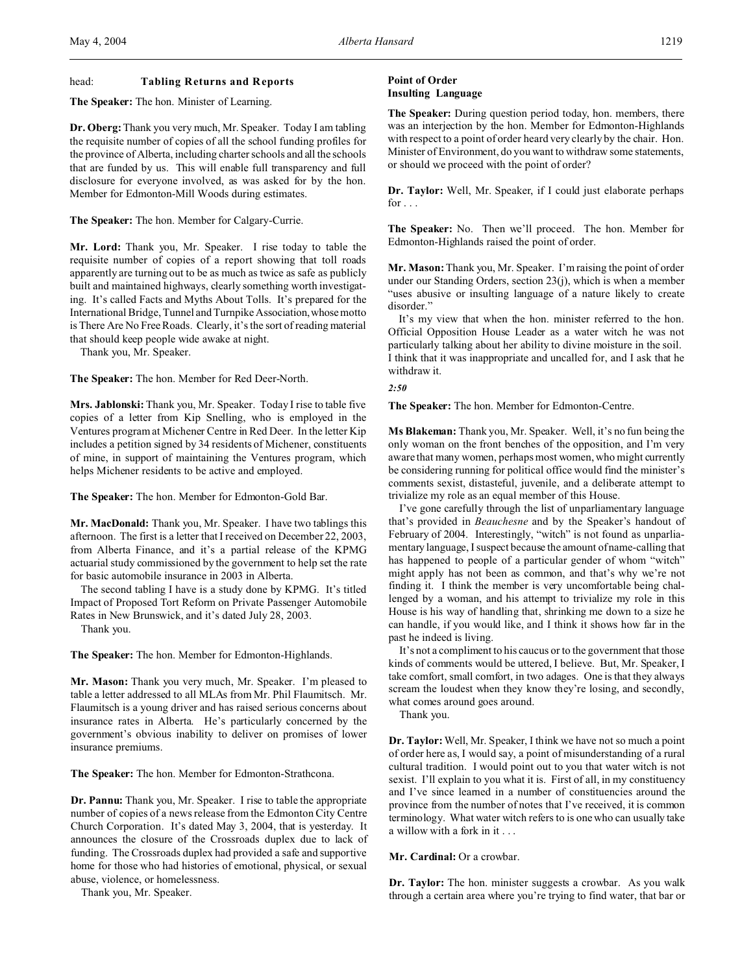### head: **Tabling Returns and Reports**

**The Speaker:** The hon. Minister of Learning.

**Dr. Oberg:**Thank you very much, Mr. Speaker. Today I am tabling the requisite number of copies of all the school funding profiles for the province of Alberta, including charter schools and all the schools that are funded by us. This will enable full transparency and full disclosure for everyone involved, as was asked for by the hon. Member for Edmonton-Mill Woods during estimates.

**The Speaker:** The hon. Member for Calgary-Currie.

**Mr. Lord:** Thank you, Mr. Speaker. I rise today to table the requisite number of copies of a report showing that toll roads apparently are turning out to be as much as twice as safe as publicly built and maintained highways, clearly something worth investigating. It's called Facts and Myths About Tolls. It's prepared for the International Bridge, Tunnel and Turnpike Association,whose motto is There Are No Free Roads. Clearly, it's the sort of reading material that should keep people wide awake at night.

Thank you, Mr. Speaker.

**The Speaker:** The hon. Member for Red Deer-North.

**Mrs. Jablonski:** Thank you, Mr. Speaker. Today I rise to table five copies of a letter from Kip Snelling, who is employed in the Ventures program at Michener Centre in Red Deer. In the letter Kip includes a petition signed by 34 residents of Michener, constituents of mine, in support of maintaining the Ventures program, which helps Michener residents to be active and employed.

**The Speaker:** The hon. Member for Edmonton-Gold Bar.

**Mr. MacDonald:** Thank you, Mr. Speaker. I have two tablings this afternoon. The first is a letter that I received on December 22, 2003, from Alberta Finance, and it's a partial release of the KPMG actuarial study commissioned by the government to help set the rate for basic automobile insurance in 2003 in Alberta.

The second tabling I have is a study done by KPMG. It's titled Impact of Proposed Tort Reform on Private Passenger Automobile Rates in New Brunswick, and it's dated July 28, 2003.

Thank you.

**The Speaker:** The hon. Member for Edmonton-Highlands.

**Mr. Mason:** Thank you very much, Mr. Speaker. I'm pleased to table a letter addressed to all MLAs from Mr. Phil Flaumitsch. Mr. Flaumitsch is a young driver and has raised serious concerns about insurance rates in Alberta. He's particularly concerned by the government's obvious inability to deliver on promises of lower insurance premiums.

**The Speaker:** The hon. Member for Edmonton-Strathcona.

**Dr. Pannu:** Thank you, Mr. Speaker. I rise to table the appropriate number of copies of a news release from the Edmonton City Centre Church Corporation. It's dated May 3, 2004, that is yesterday. It announces the closure of the Crossroads duplex due to lack of funding. The Crossroads duplex had provided a safe and supportive home for those who had histories of emotional, physical, or sexual abuse, violence, or homelessness.

Thank you, Mr. Speaker.

## **Point of Order Insulting Language**

**The Speaker:** During question period today, hon. members, there was an interjection by the hon. Member for Edmonton-Highlands with respect to a point of order heard very clearly by the chair. Hon. Minister of Environment, do you want to withdraw some statements, or should we proceed with the point of order?

**Dr. Taylor:** Well, Mr. Speaker, if I could just elaborate perhaps for  $\ldots$ 

**The Speaker:** No. Then we'll proceed. The hon. Member for Edmonton-Highlands raised the point of order.

**Mr. Mason:** Thank you, Mr. Speaker. I'm raising the point of order under our Standing Orders, section 23(j), which is when a member "uses abusive or insulting language of a nature likely to create disorder."

It's my view that when the hon. minister referred to the hon. Official Opposition House Leader as a water witch he was not particularly talking about her ability to divine moisture in the soil. I think that it was inappropriate and uncalled for, and I ask that he withdraw it.

*2:50*

**The Speaker:** The hon. Member for Edmonton-Centre.

**Ms Blakeman:** Thank you, Mr. Speaker. Well, it's no fun being the only woman on the front benches of the opposition, and I'm very aware that many women, perhaps most women, who might currently be considering running for political office would find the minister's comments sexist, distasteful, juvenile, and a deliberate attempt to trivialize my role as an equal member of this House.

I've gone carefully through the list of unparliamentary language that's provided in *Beauchesne* and by the Speaker's handout of February of 2004. Interestingly, "witch" is not found as unparliamentary language, I suspect because the amount of name-calling that has happened to people of a particular gender of whom "witch" might apply has not been as common, and that's why we're not finding it. I think the member is very uncomfortable being challenged by a woman, and his attempt to trivialize my role in this House is his way of handling that, shrinking me down to a size he can handle, if you would like, and I think it shows how far in the past he indeed is living.

It's not a compliment to his caucus or to the government that those kinds of comments would be uttered, I believe. But, Mr. Speaker, I take comfort, small comfort, in two adages. One is that they always scream the loudest when they know they're losing, and secondly, what comes around goes around.

Thank you.

**Dr. Taylor:**Well, Mr. Speaker, I think we have not so much a point of order here as, I would say, a point of misunderstanding of a rural cultural tradition. I would point out to you that water witch is not sexist. I'll explain to you what it is. First of all, in my constituency and I've since learned in a number of constituencies around the province from the number of notes that I've received, it is common terminology. What water witch refers to is one who can usually take a willow with a fork in it . . .

**Mr. Cardinal:** Or a crowbar.

**Dr. Taylor:** The hon. minister suggests a crowbar. As you walk through a certain area where you're trying to find water, that bar or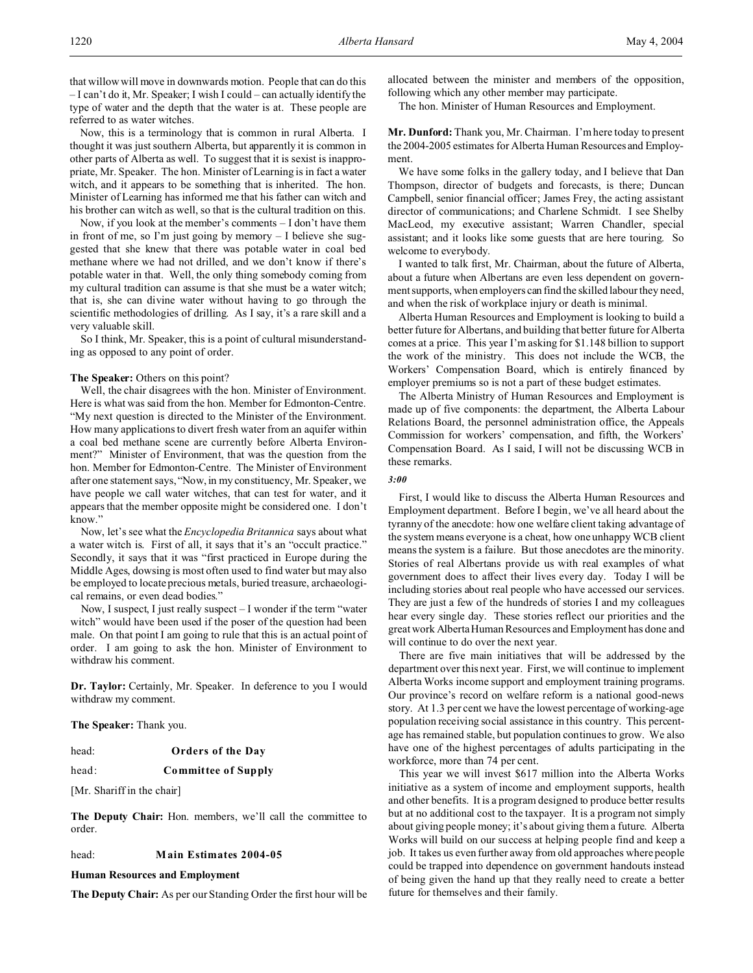that willow will move in downwards motion. People that can do this – I can't do it, Mr. Speaker; I wish I could – can actually identify the type of water and the depth that the water is at. These people are referred to as water witches.

Now, this is a terminology that is common in rural Alberta. I thought it was just southern Alberta, but apparently it is common in other parts of Alberta as well. To suggest that it is sexist is inappropriate, Mr. Speaker. The hon. Minister of Learning is in fact a water witch, and it appears to be something that is inherited. The hon. Minister of Learning has informed me that his father can witch and his brother can witch as well, so that is the cultural tradition on this.

Now, if you look at the member's comments – I don't have them in front of me, so I'm just going by memory – I believe she suggested that she knew that there was potable water in coal bed methane where we had not drilled, and we don't know if there's potable water in that. Well, the only thing somebody coming from my cultural tradition can assume is that she must be a water witch; that is, she can divine water without having to go through the scientific methodologies of drilling. As I say, it's a rare skill and a very valuable skill.

So I think, Mr. Speaker, this is a point of cultural misunderstanding as opposed to any point of order.

#### The Speaker: Others on this point?

Well, the chair disagrees with the hon. Minister of Environment. Here is what was said from the hon. Member for Edmonton-Centre. "My next question is directed to the Minister of the Environment. How many applications to divert fresh water from an aquifer within a coal bed methane scene are currently before Alberta Environment?" Minister of Environment, that was the question from the hon. Member for Edmonton-Centre. The Minister of Environment after one statement says, "Now, in my constituency, Mr. Speaker, we have people we call water witches, that can test for water, and it appears that the member opposite might be considered one. I don't know."

Now, let's see what the *Encyclopedia Britannica* says about what a water witch is. First of all, it says that it's an "occult practice." Secondly, it says that it was "first practiced in Europe during the Middle Ages, dowsing is most often used to find water but may also be employed to locate precious metals, buried treasure, archaeological remains, or even dead bodies."

Now, I suspect, I just really suspect – I wonder if the term "water witch" would have been used if the poser of the question had been male. On that point I am going to rule that this is an actual point of order. I am going to ask the hon. Minister of Environment to withdraw his comment.

**Dr. Taylor:** Certainly, Mr. Speaker. In deference to you I would withdraw my comment.

**The Speaker:** Thank you.

- head: **Orders of the Day**
- head: **Committee of Supply**

[Mr. Shariff in the chair]

**The Deputy Chair:** Hon. members, we'll call the committee to order.

#### head: **Main Estimates 2004-05**

**Human Resources and Employment**

**The Deputy Chair:** As per our Standing Order the first hour will be

allocated between the minister and members of the opposition, following which any other member may participate.

The hon. Minister of Human Resources and Employment.

**Mr. Dunford:** Thank you, Mr. Chairman. I'm here today to present the 2004-2005 estimates for Alberta Human Resources and Employment.

We have some folks in the gallery today, and I believe that Dan Thompson, director of budgets and forecasts, is there; Duncan Campbell, senior financial officer; James Frey, the acting assistant director of communications; and Charlene Schmidt. I see Shelby MacLeod, my executive assistant; Warren Chandler, special assistant; and it looks like some guests that are here touring. So welcome to everybody.

I wanted to talk first, Mr. Chairman, about the future of Alberta, about a future when Albertans are even less dependent on government supports, when employers can find the skilled labour they need, and when the risk of workplace injury or death is minimal.

Alberta Human Resources and Employment is looking to build a better future for Albertans, and building that better future for Alberta comes at a price. This year I'm asking for \$1.148 billion to support the work of the ministry. This does not include the WCB, the Workers' Compensation Board, which is entirely financed by employer premiums so is not a part of these budget estimates.

The Alberta Ministry of Human Resources and Employment is made up of five components: the department, the Alberta Labour Relations Board, the personnel administration office, the Appeals Commission for workers' compensation, and fifth, the Workers' Compensation Board. As I said, I will not be discussing WCB in these remarks.

### *3:00*

First, I would like to discuss the Alberta Human Resources and Employment department. Before I begin, we've all heard about the tyranny of the anecdote: how one welfare client taking advantage of the system means everyone is a cheat, how one unhappy WCB client means the system is a failure. But those anecdotes are the minority. Stories of real Albertans provide us with real examples of what government does to affect their lives every day. Today I will be including stories about real people who have accessed our services. They are just a few of the hundreds of stories I and my colleagues hear every single day. These stories reflect our priorities and the great work Alberta Human Resources and Employment has done and will continue to do over the next year.

There are five main initiatives that will be addressed by the department over this next year. First, we will continue to implement Alberta Works income support and employment training programs. Our province's record on welfare reform is a national good-news story. At 1.3 per cent we have the lowest percentage of working-age population receiving social assistance in this country. This percentage has remained stable, but population continues to grow. We also have one of the highest percentages of adults participating in the workforce, more than 74 per cent.

This year we will invest \$617 million into the Alberta Works initiative as a system of income and employment supports, health and other benefits. It is a program designed to produce better results but at no additional cost to the taxpayer. It is a program not simply about giving people money; it's about giving them a future. Alberta Works will build on our success at helping people find and keep a job. It takes us even further away from old approaches where people could be trapped into dependence on government handouts instead of being given the hand up that they really need to create a better future for themselves and their family.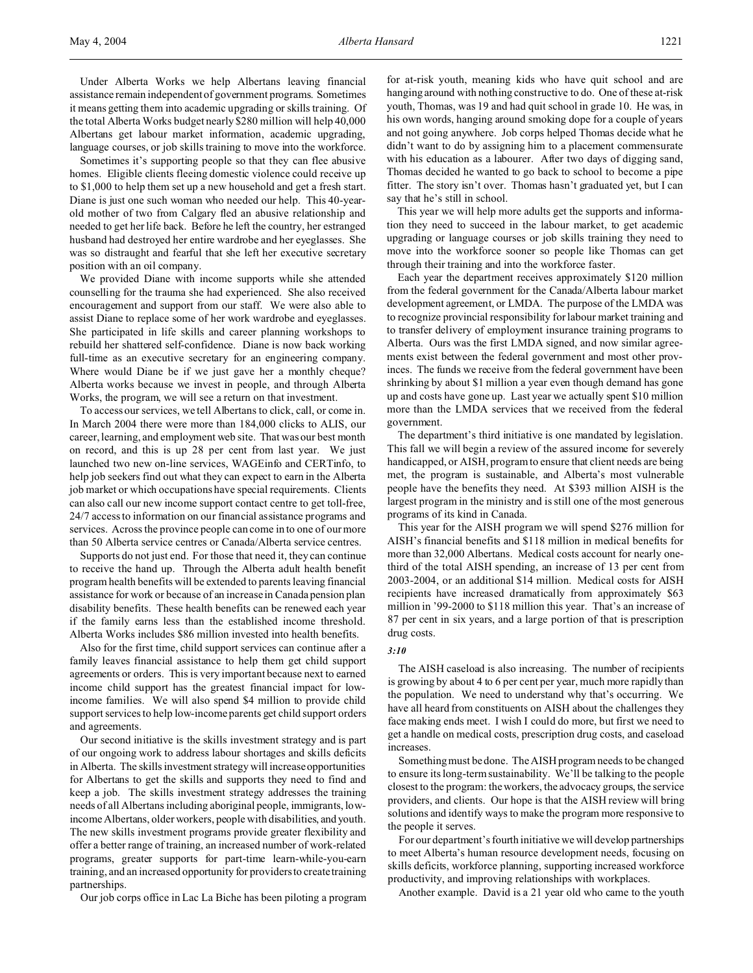Under Alberta Works we help Albertans leaving financial assistance remain independent of government programs. Sometimes it means getting them into academic upgrading or skills training. Of the total Alberta Works budget nearly \$280 million will help 40,000 Albertans get labour market information, academic upgrading, language courses, or job skills training to move into the workforce.

Sometimes it's supporting people so that they can flee abusive homes. Eligible clients fleeing domestic violence could receive up to \$1,000 to help them set up a new household and get a fresh start. Diane is just one such woman who needed our help. This 40-yearold mother of two from Calgary fled an abusive relationship and needed to get her life back. Before he left the country, her estranged husband had destroyed her entire wardrobe and her eyeglasses. She was so distraught and fearful that she left her executive secretary position with an oil company.

We provided Diane with income supports while she attended counselling for the trauma she had experienced. She also received encouragement and support from our staff. We were also able to assist Diane to replace some of her work wardrobe and eyeglasses. She participated in life skills and career planning workshops to rebuild her shattered self-confidence. Diane is now back working full-time as an executive secretary for an engineering company. Where would Diane be if we just gave her a monthly cheque? Alberta works because we invest in people, and through Alberta Works, the program, we will see a return on that investment.

To access our services, we tell Albertans to click, call, or come in. In March 2004 there were more than 184,000 clicks to ALIS, our career, learning, and employment web site. That was our best month on record, and this is up 28 per cent from last year. We just launched two new on-line services, WAGEinfo and CERTinfo, to help job seekers find out what they can expect to earn in the Alberta job market or which occupations have special requirements. Clients can also call our new income support contact centre to get toll-free, 24/7 access to information on our financial assistance programs and services. Across the province people can come in to one of our more than 50 Alberta service centres or Canada/Alberta service centres.

Supports do not just end. For those that need it, they can continue to receive the hand up. Through the Alberta adult health benefit program health benefits will be extended to parents leaving financial assistance for work or because of an increase in Canada pension plan disability benefits. These health benefits can be renewed each year if the family earns less than the established income threshold. Alberta Works includes \$86 million invested into health benefits.

Also for the first time, child support services can continue after a family leaves financial assistance to help them get child support agreements or orders. This is very important because next to earned income child support has the greatest financial impact for lowincome families. We will also spend \$4 million to provide child support services to help low-income parents get child support orders and agreements.

Our second initiative is the skills investment strategy and is part of our ongoing work to address labour shortages and skills deficits in Alberta. The skills investment strategy will increase opportunities for Albertans to get the skills and supports they need to find and keep a job. The skills investment strategy addresses the training needs of all Albertans including aboriginal people, immigrants, lowincome Albertans, older workers, people with disabilities, and youth. The new skills investment programs provide greater flexibility and offer a better range of training, an increased number of work-related programs, greater supports for part-time learn-while-you-earn training, and an increased opportunity for providers to create training partnerships.

Our job corps office in Lac La Biche has been piloting a program

for at-risk youth, meaning kids who have quit school and are hanging around with nothing constructive to do. One of these at-risk youth, Thomas, was 19 and had quit school in grade 10. He was, in his own words, hanging around smoking dope for a couple of years and not going anywhere. Job corps helped Thomas decide what he didn't want to do by assigning him to a placement commensurate with his education as a labourer. After two days of digging sand, Thomas decided he wanted to go back to school to become a pipe fitter. The story isn't over. Thomas hasn't graduated yet, but I can say that he's still in school.

This year we will help more adults get the supports and information they need to succeed in the labour market, to get academic upgrading or language courses or job skills training they need to move into the workforce sooner so people like Thomas can get through their training and into the workforce faster.

Each year the department receives approximately \$120 million from the federal government for the Canada/Alberta labour market development agreement, or LMDA. The purpose of the LMDA was to recognize provincial responsibility for labour market training and to transfer delivery of employment insurance training programs to Alberta. Ours was the first LMDA signed, and now similar agreements exist between the federal government and most other provinces. The funds we receive from the federal government have been shrinking by about \$1 million a year even though demand has gone up and costs have gone up. Last year we actually spent \$10 million more than the LMDA services that we received from the federal government.

The department's third initiative is one mandated by legislation. This fall we will begin a review of the assured income for severely handicapped, or AISH, program to ensure that client needs are being met, the program is sustainable, and Alberta's most vulnerable people have the benefits they need. At \$393 million AISH is the largest program in the ministry and is still one of the most generous programs of its kind in Canada.

This year for the AISH program we will spend \$276 million for AISH's financial benefits and \$118 million in medical benefits for more than 32,000 Albertans. Medical costs account for nearly onethird of the total AISH spending, an increase of 13 per cent from 2003-2004, or an additional \$14 million. Medical costs for AISH recipients have increased dramatically from approximately \$63 million in '99-2000 to \$118 million this year. That's an increase of 87 per cent in six years, and a large portion of that is prescription drug costs.

#### *3:10*

The AISH caseload is also increasing. The number of recipients is growing by about 4 to 6 per cent per year, much more rapidly than the population. We need to understand why that's occurring. We have all heard from constituents on AISH about the challenges they face making ends meet. I wish I could do more, but first we need to get a handle on medical costs, prescription drug costs, and caseload increases.

Something must be done. The AISH program needs to be changed to ensure its long-term sustainability. We'll be talking to the people closest to the program: the workers, the advocacy groups, the service providers, and clients. Our hope is that the AISH review will bring solutions and identify ways to make the program more responsive to the people it serves.

For our department's fourth initiative we will develop partnerships to meet Alberta's human resource development needs, focusing on skills deficits, workforce planning, supporting increased workforce productivity, and improving relationships with workplaces.

Another example. David is a 21 year old who came to the youth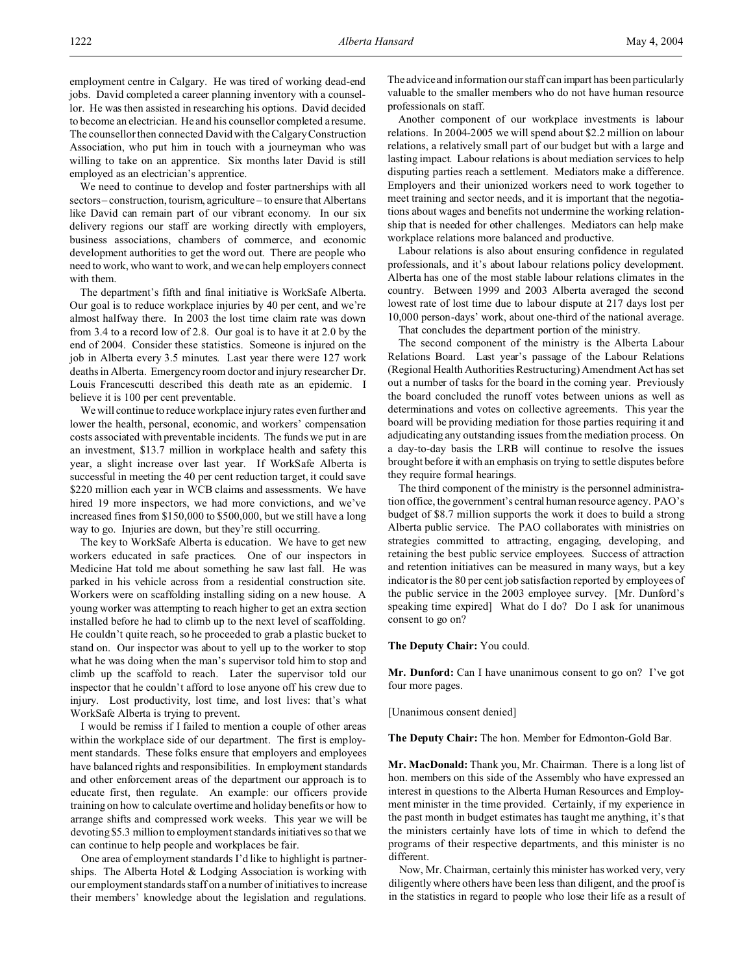employment centre in Calgary. He was tired of working dead-end jobs. David completed a career planning inventory with a counsellor. He was then assisted in researching his options. David decided to become an electrician. He and his counsellor completed a resume. The counsellor then connected David with the Calgary Construction Association, who put him in touch with a journeyman who was willing to take on an apprentice. Six months later David is still employed as an electrician's apprentice.

We need to continue to develop and foster partnerships with all sectors – construction, tourism, agriculture – to ensure that Albertans like David can remain part of our vibrant economy. In our six delivery regions our staff are working directly with employers, business associations, chambers of commerce, and economic development authorities to get the word out. There are people who need to work, who want to work, and we can help employers connect with them.

The department's fifth and final initiative is WorkSafe Alberta. Our goal is to reduce workplace injuries by 40 per cent, and we're almost halfway there. In 2003 the lost time claim rate was down from 3.4 to a record low of 2.8. Our goal is to have it at 2.0 by the end of 2004. Consider these statistics. Someone is injured on the job in Alberta every 3.5 minutes. Last year there were 127 work deaths in Alberta. Emergency room doctor and injury researcher Dr. Louis Francescutti described this death rate as an epidemic. I believe it is 100 per cent preventable.

We will continue to reduce workplace injury rates even further and lower the health, personal, economic, and workers' compensation costs associated with preventable incidents. The funds we put in are an investment, \$13.7 million in workplace health and safety this year, a slight increase over last year. If WorkSafe Alberta is successful in meeting the 40 per cent reduction target, it could save \$220 million each year in WCB claims and assessments. We have hired 19 more inspectors, we had more convictions, and we've increased fines from \$150,000 to \$500,000, but we still have a long way to go. Injuries are down, but they're still occurring.

The key to WorkSafe Alberta is education. We have to get new workers educated in safe practices. One of our inspectors in Medicine Hat told me about something he saw last fall. He was parked in his vehicle across from a residential construction site. Workers were on scaffolding installing siding on a new house. A young worker was attempting to reach higher to get an extra section installed before he had to climb up to the next level of scaffolding. He couldn't quite reach, so he proceeded to grab a plastic bucket to stand on. Our inspector was about to yell up to the worker to stop what he was doing when the man's supervisor told him to stop and climb up the scaffold to reach. Later the supervisor told our inspector that he couldn't afford to lose anyone off his crew due to injury. Lost productivity, lost time, and lost lives: that's what WorkSafe Alberta is trying to prevent.

I would be remiss if I failed to mention a couple of other areas within the workplace side of our department. The first is employment standards. These folks ensure that employers and employees have balanced rights and responsibilities. In employment standards and other enforcement areas of the department our approach is to educate first, then regulate. An example: our officers provide training on how to calculate overtime and holiday benefits or how to arrange shifts and compressed work weeks. This year we will be devoting \$5.3 million to employment standards initiatives so that we can continue to help people and workplaces be fair.

One area of employment standards I'd like to highlight is partnerships. The Alberta Hotel & Lodging Association is working with our employment standards staff on a number of initiatives to increase their members' knowledge about the legislation and regulations.

The advice and information our staff can impart has been particularly valuable to the smaller members who do not have human resource professionals on staff.

Another component of our workplace investments is labour relations. In 2004-2005 we will spend about \$2.2 million on labour relations, a relatively small part of our budget but with a large and lasting impact. Labour relations is about mediation services to help disputing parties reach a settlement. Mediators make a difference. Employers and their unionized workers need to work together to meet training and sector needs, and it is important that the negotiations about wages and benefits not undermine the working relationship that is needed for other challenges. Mediators can help make workplace relations more balanced and productive.

Labour relations is also about ensuring confidence in regulated professionals, and it's about labour relations policy development. Alberta has one of the most stable labour relations climates in the country. Between 1999 and 2003 Alberta averaged the second lowest rate of lost time due to labour dispute at 217 days lost per 10,000 person-days' work, about one-third of the national average.

That concludes the department portion of the ministry.

The second component of the ministry is the Alberta Labour Relations Board. Last year's passage of the Labour Relations (Regional Health Authorities Restructuring) Amendment Act has set out a number of tasks for the board in the coming year. Previously the board concluded the runoff votes between unions as well as determinations and votes on collective agreements. This year the board will be providing mediation for those parties requiring it and adjudicating any outstanding issues from the mediation process. On a day-to-day basis the LRB will continue to resolve the issues brought before it with an emphasis on trying to settle disputes before they require formal hearings.

The third component of the ministry is the personnel administration office, the government's central human resource agency. PAO's budget of \$8.7 million supports the work it does to build a strong Alberta public service. The PAO collaborates with ministries on strategies committed to attracting, engaging, developing, and retaining the best public service employees. Success of attraction and retention initiatives can be measured in many ways, but a key indicator is the 80 per cent job satisfaction reported by employees of the public service in the 2003 employee survey. [Mr. Dunford's speaking time expired] What do I do? Do I ask for unanimous consent to go on?

### **The Deputy Chair:** You could.

**Mr. Dunford:** Can I have unanimous consent to go on? I've got four more pages.

[Unanimous consent denied]

**The Deputy Chair:** The hon. Member for Edmonton-Gold Bar.

**Mr. MacDonald:** Thank you, Mr. Chairman. There is a long list of hon. members on this side of the Assembly who have expressed an interest in questions to the Alberta Human Resources and Employment minister in the time provided. Certainly, if my experience in the past month in budget estimates has taught me anything, it's that the ministers certainly have lots of time in which to defend the programs of their respective departments, and this minister is no different.

Now, Mr. Chairman, certainly this minister has worked very, very diligently where others have been less than diligent, and the proof is in the statistics in regard to people who lose their life as a result of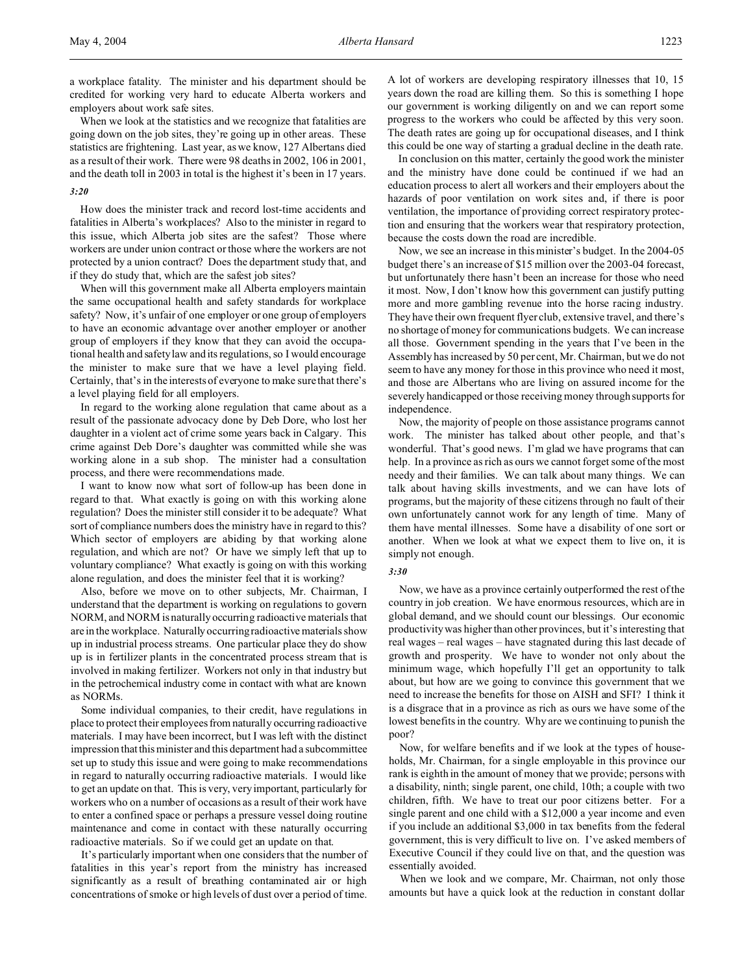a workplace fatality. The minister and his department should be credited for working very hard to educate Alberta workers and employers about work safe sites.

When we look at the statistics and we recognize that fatalities are going down on the job sites, they're going up in other areas. These statistics are frightening. Last year, as we know, 127 Albertans died as a result of their work. There were 98 deaths in 2002, 106 in 2001, and the death toll in 2003 in total is the highest it's been in 17 years.

#### *3:20*

How does the minister track and record lost-time accidents and fatalities in Alberta's workplaces? Also to the minister in regard to this issue, which Alberta job sites are the safest? Those where workers are under union contract or those where the workers are not protected by a union contract? Does the department study that, and if they do study that, which are the safest job sites?

When will this government make all Alberta employers maintain the same occupational health and safety standards for workplace safety? Now, it's unfair of one employer or one group of employers to have an economic advantage over another employer or another group of employers if they know that they can avoid the occupational health and safety law and its regulations, so I would encourage the minister to make sure that we have a level playing field. Certainly, that's in the interests of everyone to make sure that there's a level playing field for all employers.

In regard to the working alone regulation that came about as a result of the passionate advocacy done by Deb Dore, who lost her daughter in a violent act of crime some years back in Calgary. This crime against Deb Dore's daughter was committed while she was working alone in a sub shop. The minister had a consultation process, and there were recommendations made.

I want to know now what sort of follow-up has been done in regard to that. What exactly is going on with this working alone regulation? Does the minister still consider it to be adequate? What sort of compliance numbers does the ministry have in regard to this? Which sector of employers are abiding by that working alone regulation, and which are not? Or have we simply left that up to voluntary compliance? What exactly is going on with this working alone regulation, and does the minister feel that it is working?

Also, before we move on to other subjects, Mr. Chairman, I understand that the department is working on regulations to govern NORM, and NORM is naturally occurring radioactive materials that are in the workplace. Naturally occurring radioactive materials show up in industrial process streams. One particular place they do show up is in fertilizer plants in the concentrated process stream that is involved in making fertilizer. Workers not only in that industry but in the petrochemical industry come in contact with what are known as NORMs.

Some individual companies, to their credit, have regulations in place to protect their employees from naturally occurring radioactive materials. I may have been incorrect, but I was left with the distinct impression that this minister and this department had a subcommittee set up to study this issue and were going to make recommendations in regard to naturally occurring radioactive materials. I would like to get an update on that. This is very, very important, particularly for workers who on a number of occasions as a result of their work have to enter a confined space or perhaps a pressure vessel doing routine maintenance and come in contact with these naturally occurring radioactive materials. So if we could get an update on that.

It's particularly important when one considers that the number of fatalities in this year's report from the ministry has increased significantly as a result of breathing contaminated air or high concentrations of smoke or high levels of dust over a period of time. A lot of workers are developing respiratory illnesses that 10, 15 years down the road are killing them. So this is something I hope our government is working diligently on and we can report some progress to the workers who could be affected by this very soon. The death rates are going up for occupational diseases, and I think this could be one way of starting a gradual decline in the death rate.

In conclusion on this matter, certainly the good work the minister and the ministry have done could be continued if we had an education process to alert all workers and their employers about the hazards of poor ventilation on work sites and, if there is poor ventilation, the importance of providing correct respiratory protection and ensuring that the workers wear that respiratory protection, because the costs down the road are incredible.

Now, we see an increase in this minister's budget. In the 2004-05 budget there's an increase of \$15 million over the 2003-04 forecast, but unfortunately there hasn't been an increase for those who need it most. Now, I don't know how this government can justify putting more and more gambling revenue into the horse racing industry. They have their own frequent flyer club, extensive travel, and there's no shortage of money for communications budgets. We can increase all those. Government spending in the years that I've been in the Assembly has increased by 50 per cent, Mr. Chairman, but we do not seem to have any money for those in this province who need it most, and those are Albertans who are living on assured income for the severely handicapped or those receiving money through supports for independence.

Now, the majority of people on those assistance programs cannot work. The minister has talked about other people, and that's wonderful. That's good news. I'm glad we have programs that can help. In a province as rich as ours we cannot forget some of the most needy and their families. We can talk about many things. We can talk about having skills investments, and we can have lots of programs, but the majority of these citizens through no fault of their own unfortunately cannot work for any length of time. Many of them have mental illnesses. Some have a disability of one sort or another. When we look at what we expect them to live on, it is simply not enough.

#### *3:30*

Now, we have as a province certainly outperformed the rest of the country in job creation. We have enormous resources, which are in global demand, and we should count our blessings. Our economic productivity was higher than other provinces, but it's interesting that real wages – real wages – have stagnated during this last decade of growth and prosperity. We have to wonder not only about the minimum wage, which hopefully I'll get an opportunity to talk about, but how are we going to convince this government that we need to increase the benefits for those on AISH and SFI? I think it is a disgrace that in a province as rich as ours we have some of the lowest benefits in the country. Why are we continuing to punish the poor?

Now, for welfare benefits and if we look at the types of households, Mr. Chairman, for a single employable in this province our rank is eighth in the amount of money that we provide; persons with a disability, ninth; single parent, one child, 10th; a couple with two children, fifth. We have to treat our poor citizens better. For a single parent and one child with a \$12,000 a year income and even if you include an additional \$3,000 in tax benefits from the federal government, this is very difficult to live on. I've asked members of Executive Council if they could live on that, and the question was essentially avoided.

When we look and we compare, Mr. Chairman, not only those amounts but have a quick look at the reduction in constant dollar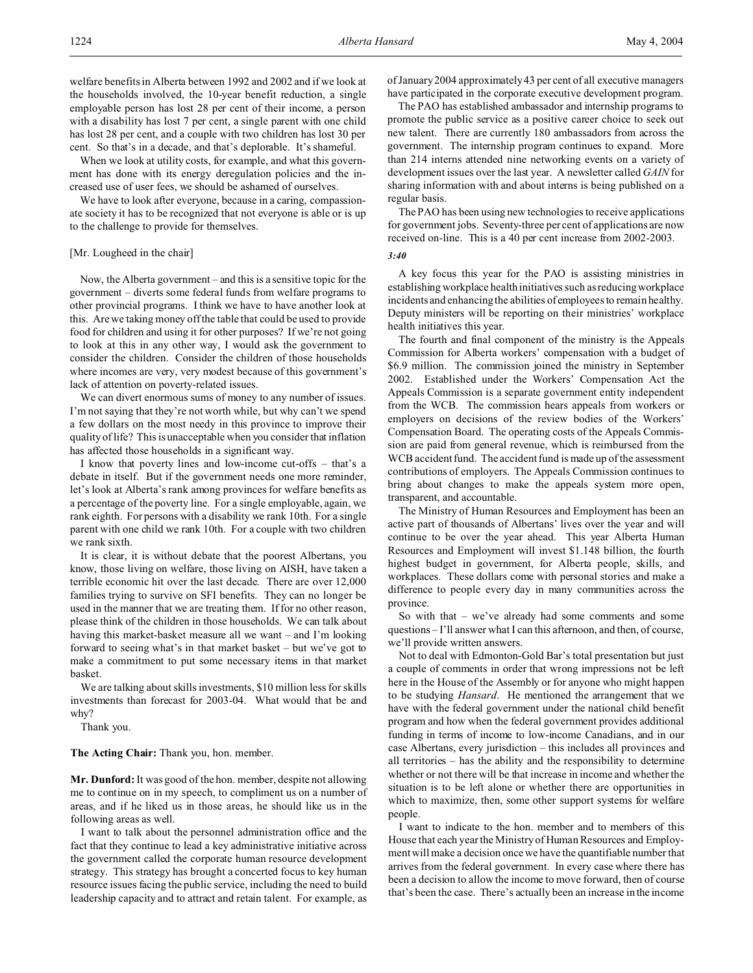When we look at utility costs, for example, and what this government has done with its energy deregulation policies and the increased use of user fees, we should be ashamed of ourselves.

We have to look after everyone, because in a caring, compassionate society it has to be recognized that not everyone is able or is up to the challenge to provide for themselves.

### [Mr. Lougheed in the chair]

Now, the Alberta government – and this is a sensitive topic for the government – diverts some federal funds from welfare programs to other provincial programs. I think we have to have another look at this. Are we taking money off the table that could be used to provide food for children and using it for other purposes? If we're not going to look at this in any other way, I would ask the government to consider the children. Consider the children of those households where incomes are very, very modest because of this government's lack of attention on poverty-related issues.

We can divert enormous sums of money to any number of issues. I'm not saying that they're not worth while, but why can't we spend a few dollars on the most needy in this province to improve their quality of life? This is unacceptable when you consider that inflation has affected those households in a significant way.

I know that poverty lines and low-income cut-offs – that's a debate in itself. But if the government needs one more reminder, let's look at Alberta's rank among provinces for welfare benefits as a percentage of the poverty line. For a single employable, again, we rank eighth. For persons with a disability we rank 10th. For a single parent with one child we rank 10th. For a couple with two children we rank sixth.

It is clear, it is without debate that the poorest Albertans, you know, those living on welfare, those living on AISH, have taken a terrible economic hit over the last decade. There are over 12,000 families trying to survive on SFI benefits. They can no longer be used in the manner that we are treating them. If for no other reason, please think of the children in those households. We can talk about having this market-basket measure all we want – and I'm looking forward to seeing what's in that market basket – but we've got to make a commitment to put some necessary items in that market basket.

We are talking about skills investments, \$10 million less for skills investments than forecast for 2003-04. What would that be and why?

Thank you.

### **The Acting Chair:** Thank you, hon. member.

**Mr. Dunford:** It was good of the hon. member, despite not allowing me to continue on in my speech, to compliment us on a number of areas, and if he liked us in those areas, he should like us in the following areas as well.

I want to talk about the personnel administration office and the fact that they continue to lead a key administrative initiative across the government called the corporate human resource development strategy. This strategy has brought a concerted focus to key human resource issues facing the public service, including the need to build leadership capacity and to attract and retain talent. For example, as of January 2004 approximately 43 per cent of all executive managers have participated in the corporate executive development program.

The PAO has established ambassador and internship programs to promote the public service as a positive career choice to seek out new talent. There are currently 180 ambassadors from across the government. The internship program continues to expand. More than 214 interns attended nine networking events on a variety of development issues over the last year. A newsletter called *GAIN* for sharing information with and about interns is being published on a regular basis.

The PAO has been using new technologies to receive applications for government jobs. Seventy-three per cent of applications are now received on-line. This is a 40 per cent increase from 2002-2003.

#### *3:40*

A key focus this year for the PAO is assisting ministries in establishing workplace health initiatives such as reducing workplace incidents and enhancing the abilities of employees to remain healthy. Deputy ministers will be reporting on their ministries' workplace health initiatives this year.

The fourth and final component of the ministry is the Appeals Commission for Alberta workers' compensation with a budget of \$6.9 million. The commission joined the ministry in September 2002. Established under the Workers' Compensation Act the Appeals Commission is a separate government entity independent from the WCB. The commission hears appeals from workers or employers on decisions of the review bodies of the Workers' Compensation Board. The operating costs of the Appeals Commission are paid from general revenue, which is reimbursed from the WCB accident fund. The accident fund is made up of the assessment contributions of employers. The Appeals Commission continues to bring about changes to make the appeals system more open, transparent, and accountable.

The Ministry of Human Resources and Employment has been an active part of thousands of Albertans' lives over the year and will continue to be over the year ahead. This year Alberta Human Resources and Employment will invest \$1.148 billion, the fourth highest budget in government, for Alberta people, skills, and workplaces. These dollars come with personal stories and make a difference to people every day in many communities across the province.

So with that – we've already had some comments and some questions – I'll answer what I can this afternoon, and then, of course, we'll provide written answers.

Not to deal with Edmonton-Gold Bar's total presentation but just a couple of comments in order that wrong impressions not be left here in the House of the Assembly or for anyone who might happen to be studying *Hansard*. He mentioned the arrangement that we have with the federal government under the national child benefit program and how when the federal government provides additional funding in terms of income to low-income Canadians, and in our case Albertans, every jurisdiction – this includes all provinces and all territories – has the ability and the responsibility to determine whether or not there will be that increase in income and whether the situation is to be left alone or whether there are opportunities in which to maximize, then, some other support systems for welfare people.

I want to indicate to the hon. member and to members of this House that each year the Ministry of Human Resources and Employment will make a decision once we have the quantifiable number that arrives from the federal government. In every case where there has been a decision to allow the income to move forward, then of course that's been the case. There's actually been an increase in the income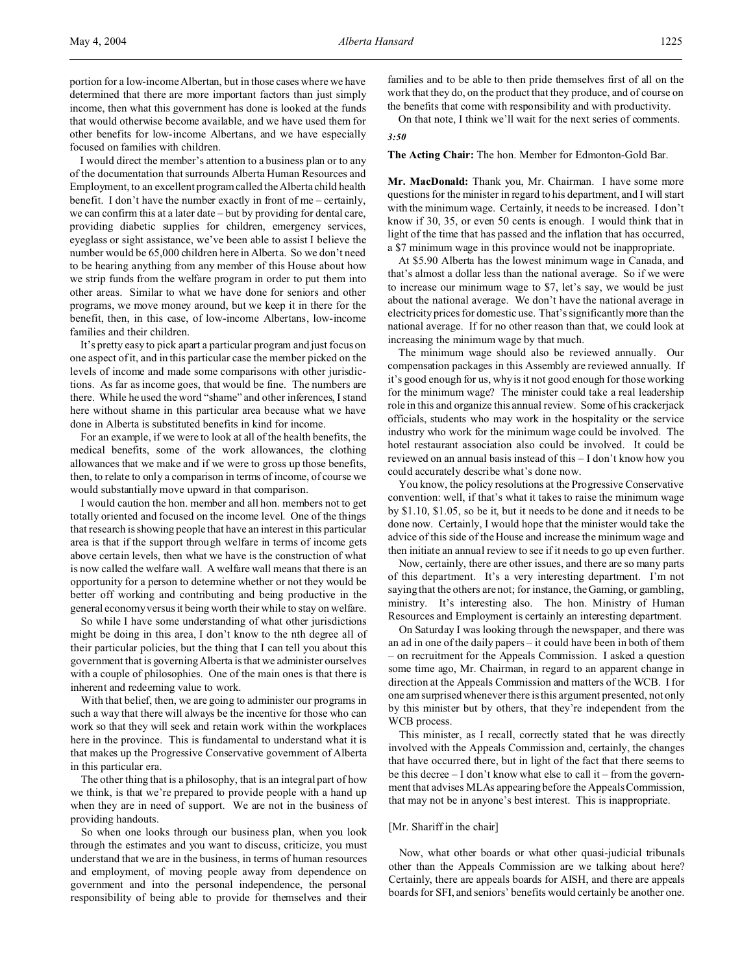portion for a low-income Albertan, but in those cases where we have determined that there are more important factors than just simply income, then what this government has done is looked at the funds that would otherwise become available, and we have used them for other benefits for low-income Albertans, and we have especially focused on families with children.

I would direct the member's attention to a business plan or to any of the documentation that surrounds Alberta Human Resources and Employment, to an excellent program called the Alberta child health benefit. I don't have the number exactly in front of me – certainly, we can confirm this at a later date – but by providing for dental care, providing diabetic supplies for children, emergency services, eyeglass or sight assistance, we've been able to assist I believe the number would be 65,000 children here in Alberta. So we don't need to be hearing anything from any member of this House about how we strip funds from the welfare program in order to put them into other areas. Similar to what we have done for seniors and other programs, we move money around, but we keep it in there for the benefit, then, in this case, of low-income Albertans, low-income families and their children.

It's pretty easy to pick apart a particular program and just focus on one aspect of it, and in this particular case the member picked on the levels of income and made some comparisons with other jurisdictions. As far as income goes, that would be fine. The numbers are there. While he used the word "shame" and other inferences, I stand here without shame in this particular area because what we have done in Alberta is substituted benefits in kind for income.

For an example, if we were to look at all of the health benefits, the medical benefits, some of the work allowances, the clothing allowances that we make and if we were to gross up those benefits, then, to relate to only a comparison in terms of income, of course we would substantially move upward in that comparison.

I would caution the hon. member and all hon. members not to get totally oriented and focused on the income level. One of the things that research is showing people that have an interest in this particular area is that if the support through welfare in terms of income gets above certain levels, then what we have is the construction of what is now called the welfare wall. A welfare wall means that there is an opportunity for a person to determine whether or not they would be better off working and contributing and being productive in the general economy versus it being worth their while to stay on welfare.

So while I have some understanding of what other jurisdictions might be doing in this area, I don't know to the nth degree all of their particular policies, but the thing that I can tell you about this government that is governing Alberta is that we administer ourselves with a couple of philosophies. One of the main ones is that there is inherent and redeeming value to work.

With that belief, then, we are going to administer our programs in such a way that there will always be the incentive for those who can work so that they will seek and retain work within the workplaces here in the province. This is fundamental to understand what it is that makes up the Progressive Conservative government of Alberta in this particular era.

The other thing that is a philosophy, that is an integral part of how we think, is that we're prepared to provide people with a hand up when they are in need of support. We are not in the business of providing handouts.

So when one looks through our business plan, when you look through the estimates and you want to discuss, criticize, you must understand that we are in the business, in terms of human resources and employment, of moving people away from dependence on government and into the personal independence, the personal responsibility of being able to provide for themselves and their families and to be able to then pride themselves first of all on the work that they do, on the product that they produce, and of course on the benefits that come with responsibility and with productivity.

On that note, I think we'll wait for the next series of comments. *3:50*

**The Acting Chair:** The hon. Member for Edmonton-Gold Bar.

**Mr. MacDonald:** Thank you, Mr. Chairman. I have some more questions for the minister in regard to his department, and I will start with the minimum wage. Certainly, it needs to be increased. I don't know if 30, 35, or even 50 cents is enough. I would think that in light of the time that has passed and the inflation that has occurred, a \$7 minimum wage in this province would not be inappropriate.

At \$5.90 Alberta has the lowest minimum wage in Canada, and that's almost a dollar less than the national average. So if we were to increase our minimum wage to \$7, let's say, we would be just about the national average. We don't have the national average in electricity prices for domestic use. That's significantly more than the national average. If for no other reason than that, we could look at increasing the minimum wage by that much.

The minimum wage should also be reviewed annually. Our compensation packages in this Assembly are reviewed annually. If it's good enough for us, why is it not good enough for those working for the minimum wage? The minister could take a real leadership role in this and organize this annual review. Some of his crackerjack officials, students who may work in the hospitality or the service industry who work for the minimum wage could be involved. The hotel restaurant association also could be involved. It could be reviewed on an annual basis instead of this – I don't know how you could accurately describe what's done now.

You know, the policy resolutions at the Progressive Conservative convention: well, if that's what it takes to raise the minimum wage by \$1.10, \$1.05, so be it, but it needs to be done and it needs to be done now. Certainly, I would hope that the minister would take the advice of this side of the House and increase the minimum wage and then initiate an annual review to see if it needs to go up even further.

Now, certainly, there are other issues, and there are so many parts of this department. It's a very interesting department. I'm not saying that the others are not; for instance, the Gaming, or gambling, ministry. It's interesting also. The hon. Ministry of Human Resources and Employment is certainly an interesting department.

On Saturday I was looking through the newspaper, and there was an ad in one of the daily papers – it could have been in both of them – on recruitment for the Appeals Commission. I asked a question some time ago, Mr. Chairman, in regard to an apparent change in direction at the Appeals Commission and matters of the WCB. I for one am surprised whenever there is this argument presented, not only by this minister but by others, that they're independent from the WCB process.

This minister, as I recall, correctly stated that he was directly involved with the Appeals Commission and, certainly, the changes that have occurred there, but in light of the fact that there seems to be this decree – I don't know what else to call it – from the government that advises MLAs appearing before the Appeals Commission, that may not be in anyone's best interest. This is inappropriate.

### [Mr. Shariff in the chair]

Now, what other boards or what other quasi-judicial tribunals other than the Appeals Commission are we talking about here? Certainly, there are appeals boards for AISH, and there are appeals boards for SFI, and seniors' benefits would certainly be another one.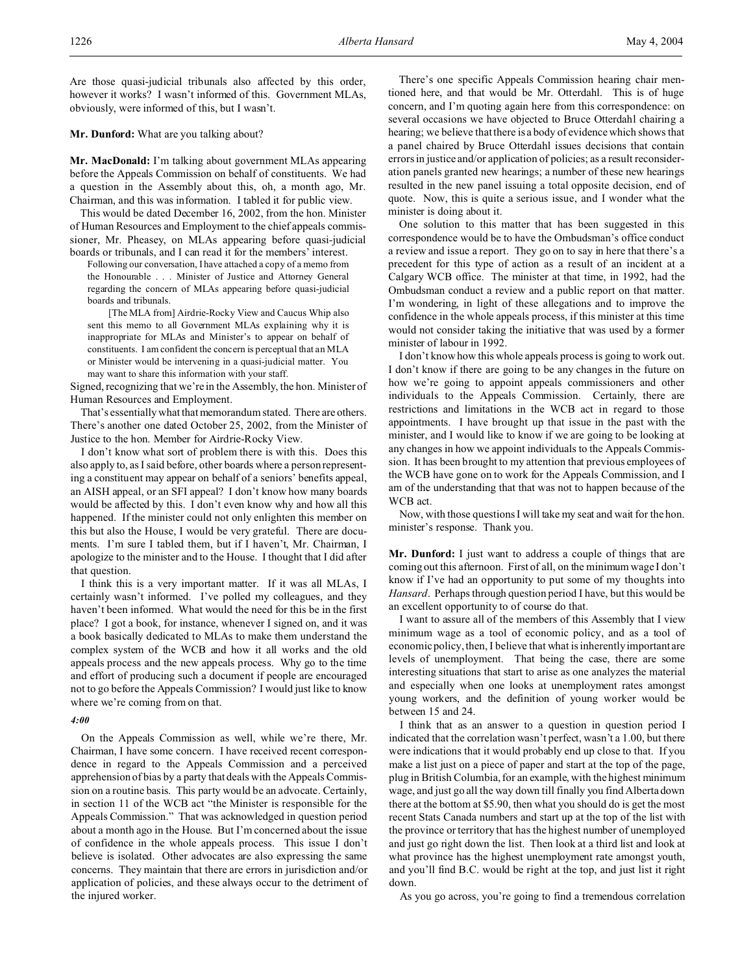Are those quasi-judicial tribunals also affected by this order, however it works? I wasn't informed of this. Government MLAs, obviously, were informed of this, but I wasn't.

**Mr. Dunford:** What are you talking about?

**Mr. MacDonald:** I'm talking about government MLAs appearing before the Appeals Commission on behalf of constituents. We had a question in the Assembly about this, oh, a month ago, Mr. Chairman, and this was information. I tabled it for public view.

This would be dated December 16, 2002, from the hon. Minister of Human Resources and Employment to the chief appeals commissioner, Mr. Pheasey, on MLAs appearing before quasi-judicial boards or tribunals, and I can read it for the members' interest.

Following our conversation, I have attached a copy of a memo from the Honourable . . . Minister of Justice and Attorney General regarding the concern of MLAs appearing before quasi-judicial boards and tribunals.

[The MLA from] Airdrie-Rocky View and Caucus Whip also sent this memo to all Government MLAs explaining why it is inappropriate for MLAs and Minister's to appear on behalf of constituents. I am confident the concern is perceptual that an MLA or Minister would be intervening in a quasi-judicial matter. You may want to share this information with your staff.

Signed, recognizing that we're in the Assembly, the hon. Minister of Human Resources and Employment.

That's essentially what that memorandum stated. There are others. There's another one dated October 25, 2002, from the Minister of Justice to the hon. Member for Airdrie-Rocky View.

I don't know what sort of problem there is with this. Does this also apply to, as I said before, other boards where a person representing a constituent may appear on behalf of a seniors' benefits appeal, an AISH appeal, or an SFI appeal? I don't know how many boards would be affected by this. I don't even know why and how all this happened. If the minister could not only enlighten this member on this but also the House, I would be very grateful. There are documents. I'm sure I tabled them, but if I haven't, Mr. Chairman, I apologize to the minister and to the House. I thought that I did after that question.

I think this is a very important matter. If it was all MLAs, I certainly wasn't informed. I've polled my colleagues, and they haven't been informed. What would the need for this be in the first place? I got a book, for instance, whenever I signed on, and it was a book basically dedicated to MLAs to make them understand the complex system of the WCB and how it all works and the old appeals process and the new appeals process. Why go to the time and effort of producing such a document if people are encouraged not to go before the Appeals Commission? I would just like to know where we're coming from on that.

#### *4:00*

On the Appeals Commission as well, while we're there, Mr. Chairman, I have some concern. I have received recent correspondence in regard to the Appeals Commission and a perceived apprehension of bias by a party that deals with the Appeals Commission on a routine basis. This party would be an advocate. Certainly, in section 11 of the WCB act "the Minister is responsible for the Appeals Commission." That was acknowledged in question period about a month ago in the House. But I'm concerned about the issue of confidence in the whole appeals process. This issue I don't believe is isolated. Other advocates are also expressing the same concerns. They maintain that there are errors in jurisdiction and/or application of policies, and these always occur to the detriment of the injured worker.

There's one specific Appeals Commission hearing chair mentioned here, and that would be Mr. Otterdahl. This is of huge concern, and I'm quoting again here from this correspondence: on several occasions we have objected to Bruce Otterdahl chairing a hearing; we believe that there is a body of evidence which shows that a panel chaired by Bruce Otterdahl issues decisions that contain errors in justice and/or application of policies; as a result reconsideration panels granted new hearings; a number of these new hearings resulted in the new panel issuing a total opposite decision, end of quote. Now, this is quite a serious issue, and I wonder what the minister is doing about it.

One solution to this matter that has been suggested in this correspondence would be to have the Ombudsman's office conduct a review and issue a report. They go on to say in here that there's a precedent for this type of action as a result of an incident at a Calgary WCB office. The minister at that time, in 1992, had the Ombudsman conduct a review and a public report on that matter. I'm wondering, in light of these allegations and to improve the confidence in the whole appeals process, if this minister at this time would not consider taking the initiative that was used by a former minister of labour in 1992.

I don't know how this whole appeals process is going to work out. I don't know if there are going to be any changes in the future on how we're going to appoint appeals commissioners and other individuals to the Appeals Commission. Certainly, there are restrictions and limitations in the WCB act in regard to those appointments. I have brought up that issue in the past with the minister, and I would like to know if we are going to be looking at any changes in how we appoint individuals to the Appeals Commission. It has been brought to my attention that previous employees of the WCB have gone on to work for the Appeals Commission, and I am of the understanding that that was not to happen because of the WCB act.

Now, with those questions I will take my seat and wait for the hon. minister's response. Thank you.

**Mr. Dunford:** I just want to address a couple of things that are coming out this afternoon. First of all, on the minimum wage I don't know if I've had an opportunity to put some of my thoughts into *Hansard*. Perhaps through question period I have, but this would be an excellent opportunity to of course do that.

I want to assure all of the members of this Assembly that I view minimum wage as a tool of economic policy, and as a tool of economic policy, then, I believe that what is inherently important are levels of unemployment. That being the case, there are some interesting situations that start to arise as one analyzes the material and especially when one looks at unemployment rates amongst young workers, and the definition of young worker would be between 15 and 24.

I think that as an answer to a question in question period I indicated that the correlation wasn't perfect, wasn't a 1.00, but there were indications that it would probably end up close to that. If you make a list just on a piece of paper and start at the top of the page, plug in British Columbia, for an example, with the highest minimum wage, and just go all the way down till finally you find Alberta down there at the bottom at \$5.90, then what you should do is get the most recent Stats Canada numbers and start up at the top of the list with the province or territory that has the highest number of unemployed and just go right down the list. Then look at a third list and look at what province has the highest unemployment rate amongst youth, and you'll find B.C. would be right at the top, and just list it right down.

As you go across, you're going to find a tremendous correlation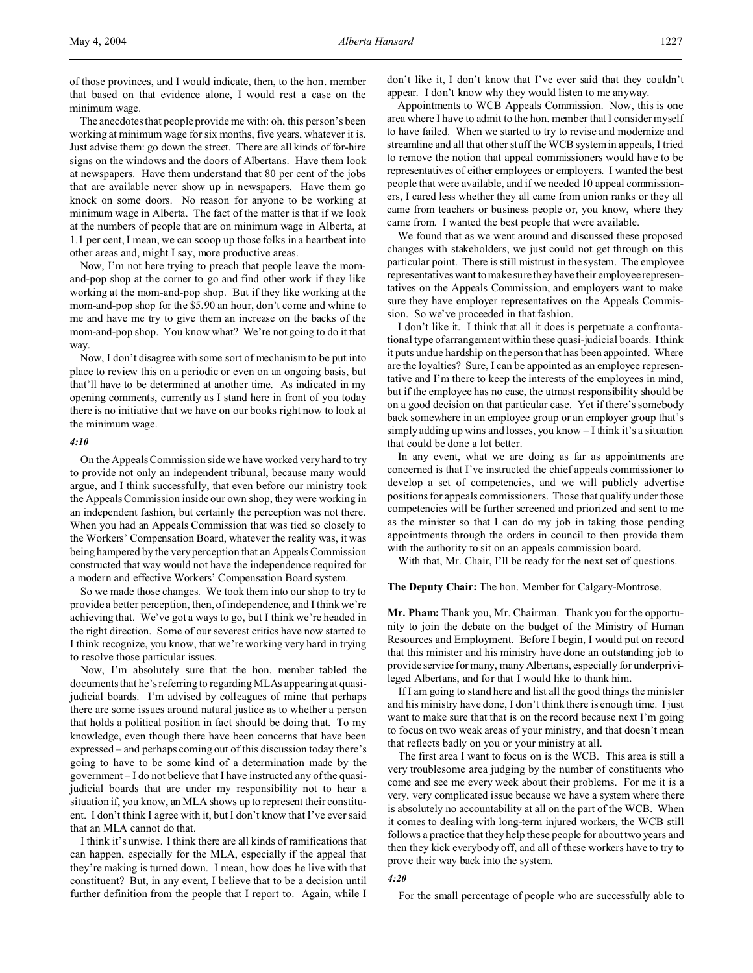of those provinces, and I would indicate, then, to the hon. member that based on that evidence alone, I would rest a case on the minimum wage.

The anecdotes that people provide me with: oh, this person's been working at minimum wage for six months, five years, whatever it is. Just advise them: go down the street. There are all kinds of for-hire signs on the windows and the doors of Albertans. Have them look at newspapers. Have them understand that 80 per cent of the jobs that are available never show up in newspapers. Have them go knock on some doors. No reason for anyone to be working at minimum wage in Alberta. The fact of the matter is that if we look at the numbers of people that are on minimum wage in Alberta, at 1.1 per cent, I mean, we can scoop up those folks in a heartbeat into other areas and, might I say, more productive areas.

Now, I'm not here trying to preach that people leave the momand-pop shop at the corner to go and find other work if they like working at the mom-and-pop shop. But if they like working at the mom-and-pop shop for the \$5.90 an hour, don't come and whine to me and have me try to give them an increase on the backs of the mom-and-pop shop. You know what? We're not going to do it that way.

Now, I don't disagree with some sort of mechanism to be put into place to review this on a periodic or even on an ongoing basis, but that'll have to be determined at another time. As indicated in my opening comments, currently as I stand here in front of you today there is no initiative that we have on our books right now to look at the minimum wage.

#### *4:10*

On the Appeals Commission side we have worked very hard to try to provide not only an independent tribunal, because many would argue, and I think successfully, that even before our ministry took the Appeals Commission inside our own shop, they were working in an independent fashion, but certainly the perception was not there. When you had an Appeals Commission that was tied so closely to the Workers' Compensation Board, whatever the reality was, it was being hampered by the very perception that an Appeals Commission constructed that way would not have the independence required for a modern and effective Workers' Compensation Board system.

So we made those changes. We took them into our shop to try to provide a better perception, then, of independence, and I think we're achieving that. We've got a ways to go, but I think we're headed in the right direction. Some of our severest critics have now started to I think recognize, you know, that we're working very hard in trying to resolve those particular issues.

Now, I'm absolutely sure that the hon. member tabled the documents that he's referring to regarding MLAs appearing at quasijudicial boards. I'm advised by colleagues of mine that perhaps there are some issues around natural justice as to whether a person that holds a political position in fact should be doing that. To my knowledge, even though there have been concerns that have been expressed – and perhaps coming out of this discussion today there's going to have to be some kind of a determination made by the government – I do not believe that I have instructed any of the quasijudicial boards that are under my responsibility not to hear a situation if, you know, an MLA shows up to represent their constituent. I don't think I agree with it, but I don't know that I've ever said that an MLA cannot do that.

I think it's unwise. I think there are all kinds of ramifications that can happen, especially for the MLA, especially if the appeal that they're making is turned down. I mean, how does he live with that constituent? But, in any event, I believe that to be a decision until further definition from the people that I report to. Again, while I

don't like it, I don't know that I've ever said that they couldn't appear. I don't know why they would listen to me anyway.

Appointments to WCB Appeals Commission. Now, this is one area where I have to admit to the hon. member that I consider myself to have failed. When we started to try to revise and modernize and streamline and all that other stuff the WCB system in appeals, I tried to remove the notion that appeal commissioners would have to be representatives of either employees or employers. I wanted the best people that were available, and if we needed 10 appeal commissioners, I cared less whether they all came from union ranks or they all came from teachers or business people or, you know, where they came from. I wanted the best people that were available.

We found that as we went around and discussed these proposed changes with stakeholders, we just could not get through on this particular point. There is still mistrust in the system. The employee representatives want to make sure they have their employee representatives on the Appeals Commission, and employers want to make sure they have employer representatives on the Appeals Commission. So we've proceeded in that fashion.

I don't like it. I think that all it does is perpetuate a confrontational type of arrangement within these quasi-judicial boards. I think it puts undue hardship on the person that has been appointed. Where are the loyalties? Sure, I can be appointed as an employee representative and I'm there to keep the interests of the employees in mind, but if the employee has no case, the utmost responsibility should be on a good decision on that particular case. Yet if there's somebody back somewhere in an employee group or an employer group that's simply adding up wins and losses, you know – I think it's a situation that could be done a lot better.

In any event, what we are doing as far as appointments are concerned is that I've instructed the chief appeals commissioner to develop a set of competencies, and we will publicly advertise positions for appeals commissioners. Those that qualify under those competencies will be further screened and priorized and sent to me as the minister so that I can do my job in taking those pending appointments through the orders in council to then provide them with the authority to sit on an appeals commission board.

With that, Mr. Chair, I'll be ready for the next set of questions.

#### **The Deputy Chair:** The hon. Member for Calgary-Montrose.

**Mr. Pham:** Thank you, Mr. Chairman. Thank you for the opportunity to join the debate on the budget of the Ministry of Human Resources and Employment. Before I begin, I would put on record that this minister and his ministry have done an outstanding job to provide service for many, many Albertans, especially for underprivileged Albertans, and for that I would like to thank him.

If I am going to stand here and list all the good things the minister and his ministry have done, I don't think there is enough time. I just want to make sure that that is on the record because next I'm going to focus on two weak areas of your ministry, and that doesn't mean that reflects badly on you or your ministry at all.

The first area I want to focus on is the WCB. This area is still a very troublesome area judging by the number of constituents who come and see me every week about their problems. For me it is a very, very complicated issue because we have a system where there is absolutely no accountability at all on the part of the WCB. When it comes to dealing with long-term injured workers, the WCB still follows a practice that they help these people for about two years and then they kick everybody off, and all of these workers have to try to prove their way back into the system.

#### *4:20*

For the small percentage of people who are successfully able to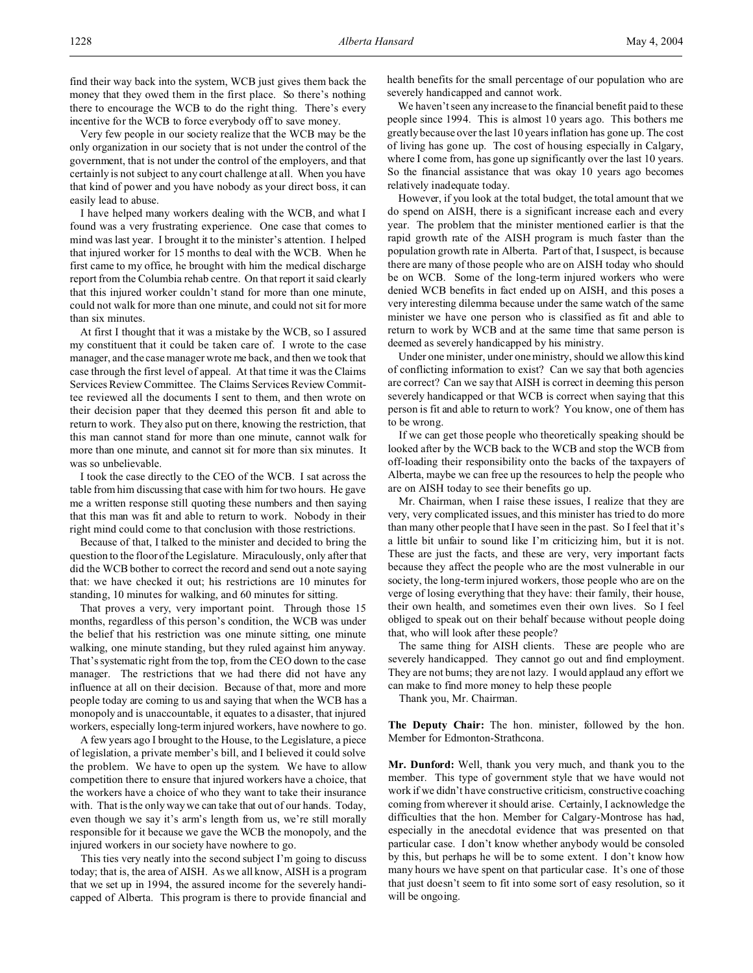find their way back into the system, WCB just gives them back the money that they owed them in the first place. So there's nothing there to encourage the WCB to do the right thing. There's every incentive for the WCB to force everybody off to save money.

Very few people in our society realize that the WCB may be the only organization in our society that is not under the control of the government, that is not under the control of the employers, and that certainly is not subject to any court challenge at all. When you have that kind of power and you have nobody as your direct boss, it can easily lead to abuse.

I have helped many workers dealing with the WCB, and what I found was a very frustrating experience. One case that comes to mind was last year. I brought it to the minister's attention. I helped that injured worker for 15 months to deal with the WCB. When he first came to my office, he brought with him the medical discharge report from the Columbia rehab centre. On that report it said clearly that this injured worker couldn't stand for more than one minute, could not walk for more than one minute, and could not sit for more than six minutes.

At first I thought that it was a mistake by the WCB, so I assured my constituent that it could be taken care of. I wrote to the case manager, and the case manager wrote me back, and then we took that case through the first level of appeal. At that time it was the Claims Services Review Committee. The Claims Services Review Committee reviewed all the documents I sent to them, and then wrote on their decision paper that they deemed this person fit and able to return to work. They also put on there, knowing the restriction, that this man cannot stand for more than one minute, cannot walk for more than one minute, and cannot sit for more than six minutes. It was so unbelievable.

I took the case directly to the CEO of the WCB. I sat across the table from him discussing that case with him for two hours. He gave me a written response still quoting these numbers and then saying that this man was fit and able to return to work. Nobody in their right mind could come to that conclusion with those restrictions.

Because of that, I talked to the minister and decided to bring the question to the floor of the Legislature. Miraculously, only after that did the WCB bother to correct the record and send out a note saying that: we have checked it out; his restrictions are 10 minutes for standing, 10 minutes for walking, and 60 minutes for sitting.

That proves a very, very important point. Through those 15 months, regardless of this person's condition, the WCB was under the belief that his restriction was one minute sitting, one minute walking, one minute standing, but they ruled against him anyway. That's systematic right from the top, from the CEO down to the case manager. The restrictions that we had there did not have any influence at all on their decision. Because of that, more and more people today are coming to us and saying that when the WCB has a monopoly and is unaccountable, it equates to a disaster, that injured workers, especially long-term injured workers, have nowhere to go.

A few years ago I brought to the House, to the Legislature, a piece of legislation, a private member's bill, and I believed it could solve the problem. We have to open up the system. We have to allow competition there to ensure that injured workers have a choice, that the workers have a choice of who they want to take their insurance with. That is the only way we can take that out of our hands. Today, even though we say it's arm's length from us, we're still morally responsible for it because we gave the WCB the monopoly, and the injured workers in our society have nowhere to go.

This ties very neatly into the second subject I'm going to discuss today; that is, the area of AISH. As we all know, AISH is a program that we set up in 1994, the assured income for the severely handicapped of Alberta. This program is there to provide financial and health benefits for the small percentage of our population who are severely handicapped and cannot work.

We haven't seen any increase to the financial benefit paid to these people since 1994. This is almost 10 years ago. This bothers me greatly because over the last 10 years inflation has gone up. The cost of living has gone up. The cost of housing especially in Calgary, where I come from, has gone up significantly over the last 10 years. So the financial assistance that was okay 10 years ago becomes relatively inadequate today.

However, if you look at the total budget, the total amount that we do spend on AISH, there is a significant increase each and every year. The problem that the minister mentioned earlier is that the rapid growth rate of the AISH program is much faster than the population growth rate in Alberta. Part of that, I suspect, is because there are many of those people who are on AISH today who should be on WCB. Some of the long-term injured workers who were denied WCB benefits in fact ended up on AISH, and this poses a very interesting dilemma because under the same watch of the same minister we have one person who is classified as fit and able to return to work by WCB and at the same time that same person is deemed as severely handicapped by his ministry.

Under one minister, under one ministry, should we allow this kind of conflicting information to exist? Can we say that both agencies are correct? Can we say that AISH is correct in deeming this person severely handicapped or that WCB is correct when saying that this person is fit and able to return to work? You know, one of them has to be wrong.

If we can get those people who theoretically speaking should be looked after by the WCB back to the WCB and stop the WCB from off-loading their responsibility onto the backs of the taxpayers of Alberta, maybe we can free up the resources to help the people who are on AISH today to see their benefits go up.

Mr. Chairman, when I raise these issues, I realize that they are very, very complicated issues, and this minister has tried to do more than many other people that I have seen in the past. So I feel that it's a little bit unfair to sound like I'm criticizing him, but it is not. These are just the facts, and these are very, very important facts because they affect the people who are the most vulnerable in our society, the long-term injured workers, those people who are on the verge of losing everything that they have: their family, their house, their own health, and sometimes even their own lives. So I feel obliged to speak out on their behalf because without people doing that, who will look after these people?

The same thing for AISH clients. These are people who are severely handicapped. They cannot go out and find employment. They are not bums; they are not lazy. I would applaud any effort we can make to find more money to help these people

Thank you, Mr. Chairman.

**The Deputy Chair:** The hon. minister, followed by the hon. Member for Edmonton-Strathcona.

**Mr. Dunford:** Well, thank you very much, and thank you to the member. This type of government style that we have would not work if we didn't have constructive criticism, constructive coaching coming from wherever it should arise. Certainly, I acknowledge the difficulties that the hon. Member for Calgary-Montrose has had, especially in the anecdotal evidence that was presented on that particular case. I don't know whether anybody would be consoled by this, but perhaps he will be to some extent. I don't know how many hours we have spent on that particular case. It's one of those that just doesn't seem to fit into some sort of easy resolution, so it will be ongoing.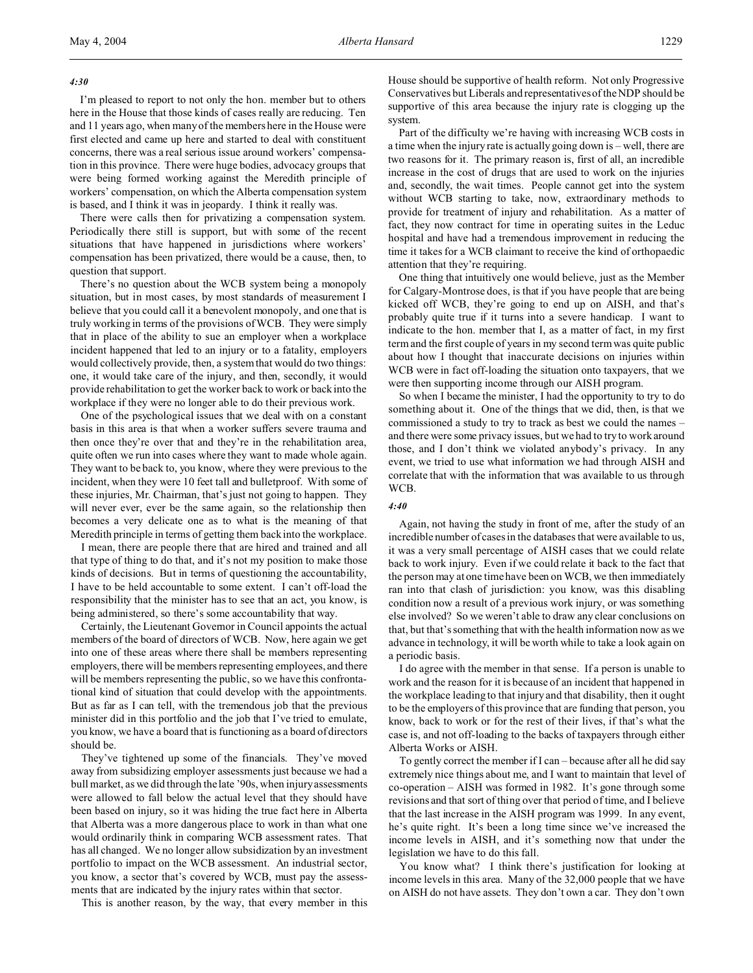#### *4:30*

I'm pleased to report to not only the hon. member but to others here in the House that those kinds of cases really are reducing. Ten and 11 years ago, when many of the members here in the House were first elected and came up here and started to deal with constituent concerns, there was a real serious issue around workers' compensation in this province. There were huge bodies, advocacy groups that were being formed working against the Meredith principle of workers' compensation, on which the Alberta compensation system is based, and I think it was in jeopardy. I think it really was.

There were calls then for privatizing a compensation system. Periodically there still is support, but with some of the recent situations that have happened in jurisdictions where workers' compensation has been privatized, there would be a cause, then, to question that support.

There's no question about the WCB system being a monopoly situation, but in most cases, by most standards of measurement I believe that you could call it a benevolent monopoly, and one that is truly working in terms of the provisions of WCB. They were simply that in place of the ability to sue an employer when a workplace incident happened that led to an injury or to a fatality, employers would collectively provide, then, a system that would do two things: one, it would take care of the injury, and then, secondly, it would provide rehabilitation to get the worker back to work or back into the workplace if they were no longer able to do their previous work.

One of the psychological issues that we deal with on a constant basis in this area is that when a worker suffers severe trauma and then once they're over that and they're in the rehabilitation area, quite often we run into cases where they want to made whole again. They want to be back to, you know, where they were previous to the incident, when they were 10 feet tall and bulletproof. With some of these injuries, Mr. Chairman, that's just not going to happen. They will never ever, ever be the same again, so the relationship then becomes a very delicate one as to what is the meaning of that Meredith principle in terms of getting them back into the workplace.

I mean, there are people there that are hired and trained and all that type of thing to do that, and it's not my position to make those kinds of decisions. But in terms of questioning the accountability, I have to be held accountable to some extent. I can't off-load the responsibility that the minister has to see that an act, you know, is being administered, so there's some accountability that way.

Certainly, the Lieutenant Governor in Council appoints the actual members of the board of directors of WCB. Now, here again we get into one of these areas where there shall be members representing employers, there will be members representing employees, and there will be members representing the public, so we have this confrontational kind of situation that could develop with the appointments. But as far as I can tell, with the tremendous job that the previous minister did in this portfolio and the job that I've tried to emulate, you know, we have a board that is functioning as a board of directors should be.

They've tightened up some of the financials. They've moved away from subsidizing employer assessments just because we had a bull market, as we did through the late '90s, when injury assessments were allowed to fall below the actual level that they should have been based on injury, so it was hiding the true fact here in Alberta that Alberta was a more dangerous place to work in than what one would ordinarily think in comparing WCB assessment rates. That has all changed. We no longer allow subsidization by an investment portfolio to impact on the WCB assessment. An industrial sector, you know, a sector that's covered by WCB, must pay the assessments that are indicated by the injury rates within that sector.

This is another reason, by the way, that every member in this

House should be supportive of health reform. Not only Progressive Conservatives but Liberals and representatives of the NDP should be supportive of this area because the injury rate is clogging up the system.

Part of the difficulty we're having with increasing WCB costs in a time when the injury rate is actually going down is – well, there are two reasons for it. The primary reason is, first of all, an incredible increase in the cost of drugs that are used to work on the injuries and, secondly, the wait times. People cannot get into the system without WCB starting to take, now, extraordinary methods to provide for treatment of injury and rehabilitation. As a matter of fact, they now contract for time in operating suites in the Leduc hospital and have had a tremendous improvement in reducing the time it takes for a WCB claimant to receive the kind of orthopaedic attention that they're requiring.

One thing that intuitively one would believe, just as the Member for Calgary-Montrose does, is that if you have people that are being kicked off WCB, they're going to end up on AISH, and that's probably quite true if it turns into a severe handicap. I want to indicate to the hon. member that I, as a matter of fact, in my first term and the first couple of years in my second term was quite public about how I thought that inaccurate decisions on injuries within WCB were in fact off-loading the situation onto taxpayers, that we were then supporting income through our AISH program.

So when I became the minister, I had the opportunity to try to do something about it. One of the things that we did, then, is that we commissioned a study to try to track as best we could the names – and there were some privacy issues, but we had to try to work around those, and I don't think we violated anybody's privacy. In any event, we tried to use what information we had through AISH and correlate that with the information that was available to us through WCB.

## *4:40*

Again, not having the study in front of me, after the study of an incredible number of cases in the databases that were available to us, it was a very small percentage of AISH cases that we could relate back to work injury. Even if we could relate it back to the fact that the person may at one time have been on WCB, we then immediately ran into that clash of jurisdiction: you know, was this disabling condition now a result of a previous work injury, or was something else involved? So we weren't able to draw any clear conclusions on that, but that's something that with the health information now as we advance in technology, it will be worth while to take a look again on a periodic basis.

I do agree with the member in that sense. If a person is unable to work and the reason for it is because of an incident that happened in the workplace leading to that injury and that disability, then it ought to be the employers of this province that are funding that person, you know, back to work or for the rest of their lives, if that's what the case is, and not off-loading to the backs of taxpayers through either Alberta Works or AISH.

To gently correct the member if I can – because after all he did say extremely nice things about me, and I want to maintain that level of co-operation – AISH was formed in 1982. It's gone through some revisions and that sort of thing over that period of time, and I believe that the last increase in the AISH program was 1999. In any event, he's quite right. It's been a long time since we've increased the income levels in AISH, and it's something now that under the legislation we have to do this fall.

You know what? I think there's justification for looking at income levels in this area. Many of the 32,000 people that we have on AISH do not have assets. They don't own a car. They don't own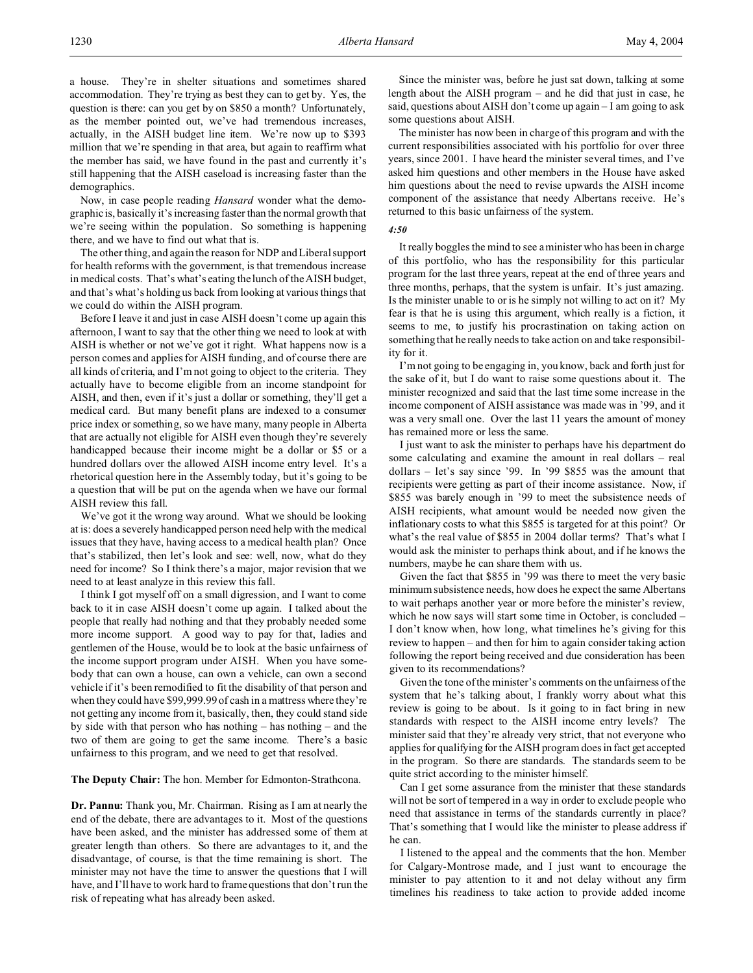a house. They're in shelter situations and sometimes shared accommodation. They're trying as best they can to get by. Yes, the question is there: can you get by on \$850 a month? Unfortunately, as the member pointed out, we've had tremendous increases, actually, in the AISH budget line item. We're now up to \$393 million that we're spending in that area, but again to reaffirm what the member has said, we have found in the past and currently it's still happening that the AISH caseload is increasing faster than the demographics.

Now, in case people reading *Hansard* wonder what the demographic is, basically it's increasing faster than the normal growth that we're seeing within the population. So something is happening there, and we have to find out what that is.

The other thing, and again the reason for NDP and Liberal support for health reforms with the government, is that tremendous increase in medical costs. That's what's eating the lunch of the AISH budget, and that's what's holding us back from looking at various things that we could do within the AISH program.

Before I leave it and just in case AISH doesn't come up again this afternoon, I want to say that the other thing we need to look at with AISH is whether or not we've got it right. What happens now is a person comes and applies for AISH funding, and of course there are all kinds of criteria, and I'm not going to object to the criteria. They actually have to become eligible from an income standpoint for AISH, and then, even if it's just a dollar or something, they'll get a medical card. But many benefit plans are indexed to a consumer price index or something, so we have many, many people in Alberta that are actually not eligible for AISH even though they're severely handicapped because their income might be a dollar or \$5 or a hundred dollars over the allowed AISH income entry level. It's a rhetorical question here in the Assembly today, but it's going to be a question that will be put on the agenda when we have our formal AISH review this fall.

We've got it the wrong way around. What we should be looking at is: does a severely handicapped person need help with the medical issues that they have, having access to a medical health plan? Once that's stabilized, then let's look and see: well, now, what do they need for income? So I think there's a major, major revision that we need to at least analyze in this review this fall.

I think I got myself off on a small digression, and I want to come back to it in case AISH doesn't come up again. I talked about the people that really had nothing and that they probably needed some more income support. A good way to pay for that, ladies and gentlemen of the House, would be to look at the basic unfairness of the income support program under AISH. When you have somebody that can own a house, can own a vehicle, can own a second vehicle if it's been remodified to fit the disability of that person and when they could have \$99,999.99 of cash in a mattress where they're not getting any income from it, basically, then, they could stand side by side with that person who has nothing – has nothing – and the two of them are going to get the same income. There's a basic unfairness to this program, and we need to get that resolved.

#### **The Deputy Chair:** The hon. Member for Edmonton-Strathcona.

**Dr. Pannu:** Thank you, Mr. Chairman. Rising as I am at nearly the end of the debate, there are advantages to it. Most of the questions have been asked, and the minister has addressed some of them at greater length than others. So there are advantages to it, and the disadvantage, of course, is that the time remaining is short. The minister may not have the time to answer the questions that I will have, and I'll have to work hard to frame questions that don't run the risk of repeating what has already been asked.

Since the minister was, before he just sat down, talking at some length about the AISH program – and he did that just in case, he said, questions about AISH don't come up again – I am going to ask some questions about AISH.

The minister has now been in charge of this program and with the current responsibilities associated with his portfolio for over three years, since 2001. I have heard the minister several times, and I've asked him questions and other members in the House have asked him questions about the need to revise upwards the AISH income component of the assistance that needy Albertans receive. He's returned to this basic unfairness of the system.

#### *4:50*

It really boggles the mind to see a minister who has been in charge of this portfolio, who has the responsibility for this particular program for the last three years, repeat at the end of three years and three months, perhaps, that the system is unfair. It's just amazing. Is the minister unable to or is he simply not willing to act on it? My fear is that he is using this argument, which really is a fiction, it seems to me, to justify his procrastination on taking action on something that he really needs to take action on and take responsibility for it.

I'm not going to be engaging in, you know, back and forth just for the sake of it, but I do want to raise some questions about it. The minister recognized and said that the last time some increase in the income component of AISH assistance was made was in '99, and it was a very small one. Over the last 11 years the amount of money has remained more or less the same.

I just want to ask the minister to perhaps have his department do some calculating and examine the amount in real dollars – real dollars – let's say since '99. In '99 \$855 was the amount that recipients were getting as part of their income assistance. Now, if \$855 was barely enough in '99 to meet the subsistence needs of AISH recipients, what amount would be needed now given the inflationary costs to what this \$855 is targeted for at this point? Or what's the real value of \$855 in 2004 dollar terms? That's what I would ask the minister to perhaps think about, and if he knows the numbers, maybe he can share them with us.

Given the fact that \$855 in '99 was there to meet the very basic minimum subsistence needs, how does he expect the same Albertans to wait perhaps another year or more before the minister's review, which he now says will start some time in October, is concluded – I don't know when, how long, what timelines he's giving for this review to happen – and then for him to again consider taking action following the report being received and due consideration has been given to its recommendations?

Given the tone of the minister's comments on the unfairness of the system that he's talking about, I frankly worry about what this review is going to be about. Is it going to in fact bring in new standards with respect to the AISH income entry levels? The minister said that they're already very strict, that not everyone who applies for qualifying for the AISH program does in fact get accepted in the program. So there are standards. The standards seem to be quite strict according to the minister himself.

Can I get some assurance from the minister that these standards will not be sort of tempered in a way in order to exclude people who need that assistance in terms of the standards currently in place? That's something that I would like the minister to please address if he can.

I listened to the appeal and the comments that the hon. Member for Calgary-Montrose made, and I just want to encourage the minister to pay attention to it and not delay without any firm timelines his readiness to take action to provide added income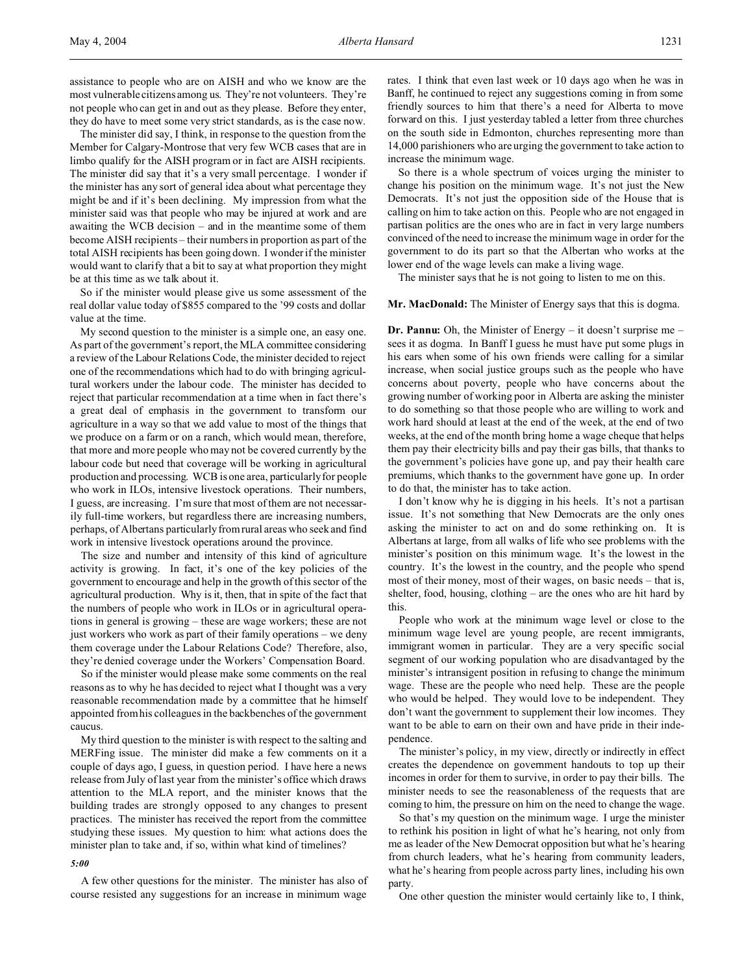The minister did say, I think, in response to the question from the Member for Calgary-Montrose that very few WCB cases that are in limbo qualify for the AISH program or in fact are AISH recipients. The minister did say that it's a very small percentage. I wonder if the minister has any sort of general idea about what percentage they might be and if it's been declining. My impression from what the minister said was that people who may be injured at work and are awaiting the WCB decision – and in the meantime some of them become AISH recipients – their numbers in proportion as part of the total AISH recipients has been going down. I wonder if the minister would want to clarify that a bit to say at what proportion they might be at this time as we talk about it.

So if the minister would please give us some assessment of the real dollar value today of \$855 compared to the '99 costs and dollar value at the time.

My second question to the minister is a simple one, an easy one. As part of the government's report, the MLA committee considering a review of the Labour Relations Code, the minister decided to reject one of the recommendations which had to do with bringing agricultural workers under the labour code. The minister has decided to reject that particular recommendation at a time when in fact there's a great deal of emphasis in the government to transform our agriculture in a way so that we add value to most of the things that we produce on a farm or on a ranch, which would mean, therefore, that more and more people who may not be covered currently by the labour code but need that coverage will be working in agricultural production and processing. WCB is one area, particularly for people who work in ILOs, intensive livestock operations. Their numbers, I guess, are increasing. I'm sure that most of them are not necessarily full-time workers, but regardless there are increasing numbers, perhaps, of Albertans particularly from rural areas who seek and find work in intensive livestock operations around the province.

The size and number and intensity of this kind of agriculture activity is growing. In fact, it's one of the key policies of the government to encourage and help in the growth of this sector of the agricultural production. Why is it, then, that in spite of the fact that the numbers of people who work in ILOs or in agricultural operations in general is growing – these are wage workers; these are not just workers who work as part of their family operations – we deny them coverage under the Labour Relations Code? Therefore, also, they're denied coverage under the Workers' Compensation Board.

So if the minister would please make some comments on the real reasons as to why he has decided to reject what I thought was a very reasonable recommendation made by a committee that he himself appointed from his colleagues in the backbenches of the government caucus.

My third question to the minister is with respect to the salting and MERFing issue. The minister did make a few comments on it a couple of days ago, I guess, in question period. I have here a news release from July of last year from the minister's office which draws attention to the MLA report, and the minister knows that the building trades are strongly opposed to any changes to present practices. The minister has received the report from the committee studying these issues. My question to him: what actions does the minister plan to take and, if so, within what kind of timelines?

#### *5:00*

A few other questions for the minister. The minister has also of course resisted any suggestions for an increase in minimum wage

rates. I think that even last week or 10 days ago when he was in Banff, he continued to reject any suggestions coming in from some friendly sources to him that there's a need for Alberta to move forward on this. I just yesterday tabled a letter from three churches on the south side in Edmonton, churches representing more than 14,000 parishioners who are urging the government to take action to increase the minimum wage.

So there is a whole spectrum of voices urging the minister to change his position on the minimum wage. It's not just the New Democrats. It's not just the opposition side of the House that is calling on him to take action on this. People who are not engaged in partisan politics are the ones who are in fact in very large numbers convinced of the need to increase the minimum wage in order for the government to do its part so that the Albertan who works at the lower end of the wage levels can make a living wage.

The minister says that he is not going to listen to me on this.

### **Mr. MacDonald:** The Minister of Energy says that this is dogma.

**Dr. Pannu:** Oh, the Minister of Energy – it doesn't surprise me – sees it as dogma. In Banff I guess he must have put some plugs in his ears when some of his own friends were calling for a similar increase, when social justice groups such as the people who have concerns about poverty, people who have concerns about the growing number of working poor in Alberta are asking the minister to do something so that those people who are willing to work and work hard should at least at the end of the week, at the end of two weeks, at the end of the month bring home a wage cheque that helps them pay their electricity bills and pay their gas bills, that thanks to the government's policies have gone up, and pay their health care premiums, which thanks to the government have gone up. In order to do that, the minister has to take action.

I don't know why he is digging in his heels. It's not a partisan issue. It's not something that New Democrats are the only ones asking the minister to act on and do some rethinking on. It is Albertans at large, from all walks of life who see problems with the minister's position on this minimum wage. It's the lowest in the country. It's the lowest in the country, and the people who spend most of their money, most of their wages, on basic needs – that is, shelter, food, housing, clothing – are the ones who are hit hard by this.

People who work at the minimum wage level or close to the minimum wage level are young people, are recent immigrants, immigrant women in particular. They are a very specific social segment of our working population who are disadvantaged by the minister's intransigent position in refusing to change the minimum wage. These are the people who need help. These are the people who would be helped. They would love to be independent. They don't want the government to supplement their low incomes. They want to be able to earn on their own and have pride in their independence.

The minister's policy, in my view, directly or indirectly in effect creates the dependence on government handouts to top up their incomes in order for them to survive, in order to pay their bills. The minister needs to see the reasonableness of the requests that are coming to him, the pressure on him on the need to change the wage.

So that's my question on the minimum wage. I urge the minister to rethink his position in light of what he's hearing, not only from me as leader of the New Democrat opposition but what he's hearing from church leaders, what he's hearing from community leaders, what he's hearing from people across party lines, including his own party.

One other question the minister would certainly like to, I think,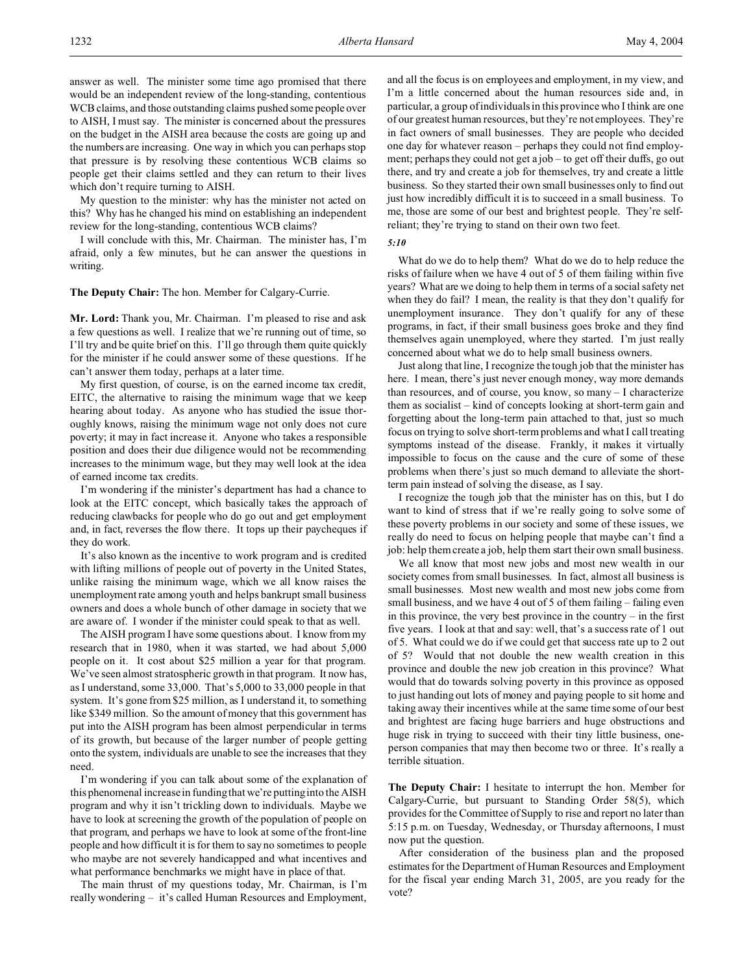answer as well. The minister some time ago promised that there would be an independent review of the long-standing, contentious WCB claims, and those outstanding claims pushed some people over to AISH, I must say. The minister is concerned about the pressures on the budget in the AISH area because the costs are going up and the numbers are increasing. One way in which you can perhaps stop that pressure is by resolving these contentious WCB claims so people get their claims settled and they can return to their lives which don't require turning to AISH.

My question to the minister: why has the minister not acted on this? Why has he changed his mind on establishing an independent review for the long-standing, contentious WCB claims?

I will conclude with this, Mr. Chairman. The minister has, I'm afraid, only a few minutes, but he can answer the questions in writing.

### **The Deputy Chair:** The hon. Member for Calgary-Currie.

**Mr. Lord:** Thank you, Mr. Chairman. I'm pleased to rise and ask a few questions as well. I realize that we're running out of time, so I'll try and be quite brief on this. I'll go through them quite quickly for the minister if he could answer some of these questions. If he can't answer them today, perhaps at a later time.

My first question, of course, is on the earned income tax credit, EITC, the alternative to raising the minimum wage that we keep hearing about today. As anyone who has studied the issue thoroughly knows, raising the minimum wage not only does not cure poverty; it may in fact increase it. Anyone who takes a responsible position and does their due diligence would not be recommending increases to the minimum wage, but they may well look at the idea of earned income tax credits.

I'm wondering if the minister's department has had a chance to look at the EITC concept, which basically takes the approach of reducing clawbacks for people who do go out and get employment and, in fact, reverses the flow there. It tops up their paycheques if they do work.

It's also known as the incentive to work program and is credited with lifting millions of people out of poverty in the United States, unlike raising the minimum wage, which we all know raises the unemployment rate among youth and helps bankrupt small business owners and does a whole bunch of other damage in society that we are aware of. I wonder if the minister could speak to that as well.

The AISH program I have some questions about. I know from my research that in 1980, when it was started, we had about 5,000 people on it. It cost about \$25 million a year for that program. We've seen almost stratospheric growth in that program. It now has, as I understand, some 33,000. That's 5,000 to 33,000 people in that system. It's gone from \$25 million, as I understand it, to something like \$349 million. So the amount of money that this government has put into the AISH program has been almost perpendicular in terms of its growth, but because of the larger number of people getting onto the system, individuals are unable to see the increases that they need.

I'm wondering if you can talk about some of the explanation of this phenomenal increase in funding that we're putting into the AISH program and why it isn't trickling down to individuals. Maybe we have to look at screening the growth of the population of people on that program, and perhaps we have to look at some of the front-line people and how difficult it is for them to say no sometimes to people who maybe are not severely handicapped and what incentives and what performance benchmarks we might have in place of that.

The main thrust of my questions today, Mr. Chairman, is I'm really wondering – it's called Human Resources and Employment,

and all the focus is on employees and employment, in my view, and I'm a little concerned about the human resources side and, in particular, a group of individuals in this province who I think are one of our greatest human resources, but they're not employees. They're in fact owners of small businesses. They are people who decided one day for whatever reason – perhaps they could not find employment; perhaps they could not get a job – to get off their duffs, go out there, and try and create a job for themselves, try and create a little business. So they started their own small businesses only to find out just how incredibly difficult it is to succeed in a small business. To me, those are some of our best and brightest people. They're selfreliant; they're trying to stand on their own two feet.

| ×<br>۰. | ٠ | I      |
|---------|---|--------|
| $\sim$  | - | ×<br>٧ |

What do we do to help them? What do we do to help reduce the risks of failure when we have 4 out of 5 of them failing within five years? What are we doing to help them in terms of a social safety net when they do fail? I mean, the reality is that they don't qualify for unemployment insurance. They don't qualify for any of these programs, in fact, if their small business goes broke and they find themselves again unemployed, where they started. I'm just really concerned about what we do to help small business owners.

Just along that line, I recognize the tough job that the minister has here. I mean, there's just never enough money, way more demands than resources, and of course, you know, so many – I characterize them as socialist – kind of concepts looking at short-term gain and forgetting about the long-term pain attached to that, just so much focus on trying to solve short-term problems and what I call treating symptoms instead of the disease. Frankly, it makes it virtually impossible to focus on the cause and the cure of some of these problems when there's just so much demand to alleviate the shortterm pain instead of solving the disease, as I say.

I recognize the tough job that the minister has on this, but I do want to kind of stress that if we're really going to solve some of these poverty problems in our society and some of these issues, we really do need to focus on helping people that maybe can't find a job: help them create a job, help them start their own small business.

We all know that most new jobs and most new wealth in our society comes from small businesses. In fact, almost all business is small businesses. Most new wealth and most new jobs come from small business, and we have 4 out of 5 of them failing – failing even in this province, the very best province in the country – in the first five years. I look at that and say: well, that's a success rate of 1 out of 5. What could we do if we could get that success rate up to 2 out of 5? Would that not double the new wealth creation in this province and double the new job creation in this province? What would that do towards solving poverty in this province as opposed to just handing out lots of money and paying people to sit home and taking away their incentives while at the same time some of our best and brightest are facing huge barriers and huge obstructions and huge risk in trying to succeed with their tiny little business, oneperson companies that may then become two or three. It's really a terrible situation.

**The Deputy Chair:** I hesitate to interrupt the hon. Member for Calgary-Currie, but pursuant to Standing Order 58(5), which provides for the Committee of Supply to rise and report no later than 5:15 p.m. on Tuesday, Wednesday, or Thursday afternoons, I must now put the question.

After consideration of the business plan and the proposed estimates for the Department of Human Resources and Employment for the fiscal year ending March 31, 2005, are you ready for the vote?